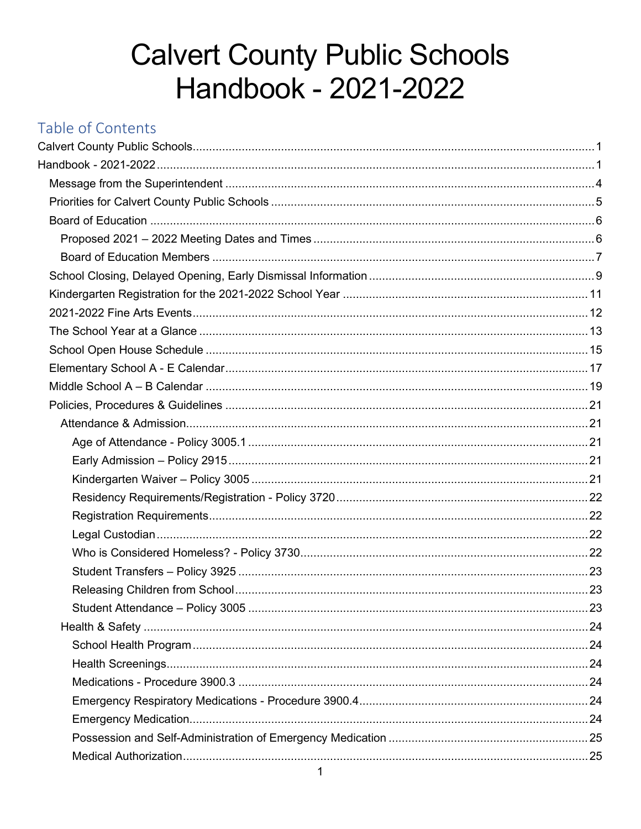# **Calvert County Public Schools** Handbook - 2021-2022

## <span id="page-0-1"></span><span id="page-0-0"></span>Table of Contents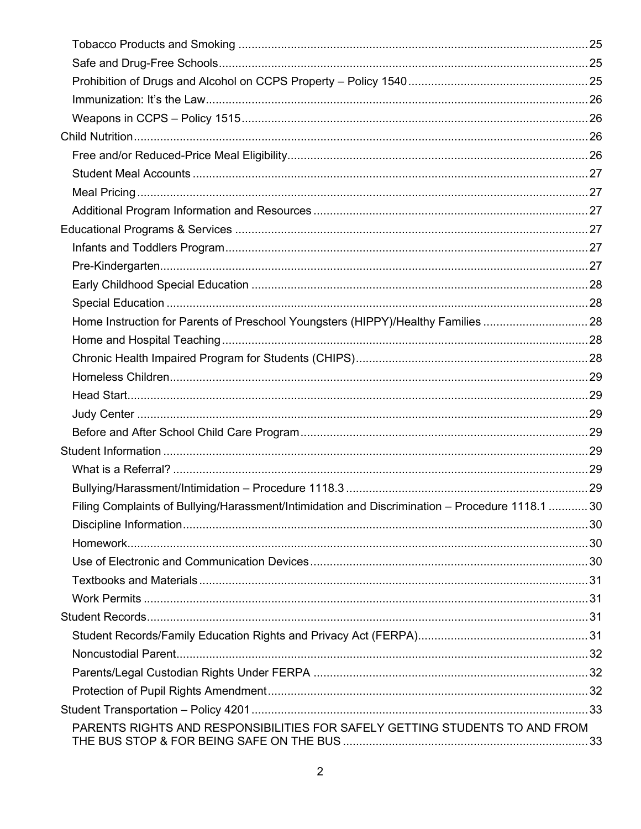| Home Instruction for Parents of Preschool Youngsters (HIPPY)/Healthy Families 28                |  |
|-------------------------------------------------------------------------------------------------|--|
|                                                                                                 |  |
|                                                                                                 |  |
|                                                                                                 |  |
|                                                                                                 |  |
|                                                                                                 |  |
|                                                                                                 |  |
|                                                                                                 |  |
|                                                                                                 |  |
|                                                                                                 |  |
| Filing Complaints of Bullying/Harassment/Intimidation and Discrimination - Procedure 1118.1  30 |  |
|                                                                                                 |  |
|                                                                                                 |  |
|                                                                                                 |  |
|                                                                                                 |  |
|                                                                                                 |  |
|                                                                                                 |  |
|                                                                                                 |  |
|                                                                                                 |  |
|                                                                                                 |  |
|                                                                                                 |  |
|                                                                                                 |  |
| PARENTS RIGHTS AND RESPONSIBILITIES FOR SAFELY GETTING STUDENTS TO AND FROM                     |  |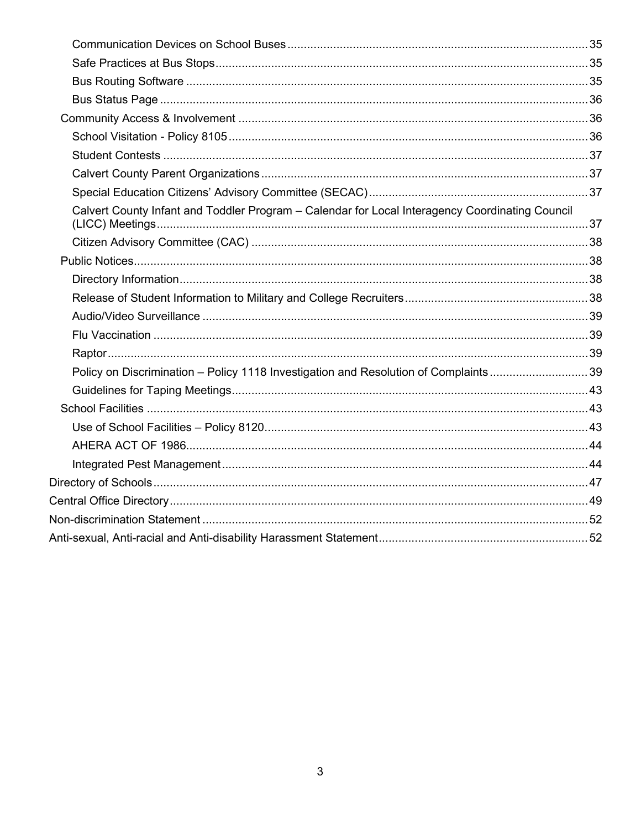| Calvert County Infant and Toddler Program - Calendar for Local Interagency Coordinating Council |  |
|-------------------------------------------------------------------------------------------------|--|
|                                                                                                 |  |
|                                                                                                 |  |
|                                                                                                 |  |
|                                                                                                 |  |
|                                                                                                 |  |
|                                                                                                 |  |
|                                                                                                 |  |
| Policy on Discrimination - Policy 1118 Investigation and Resolution of Complaints39             |  |
|                                                                                                 |  |
|                                                                                                 |  |
|                                                                                                 |  |
|                                                                                                 |  |
|                                                                                                 |  |
|                                                                                                 |  |
|                                                                                                 |  |
|                                                                                                 |  |
|                                                                                                 |  |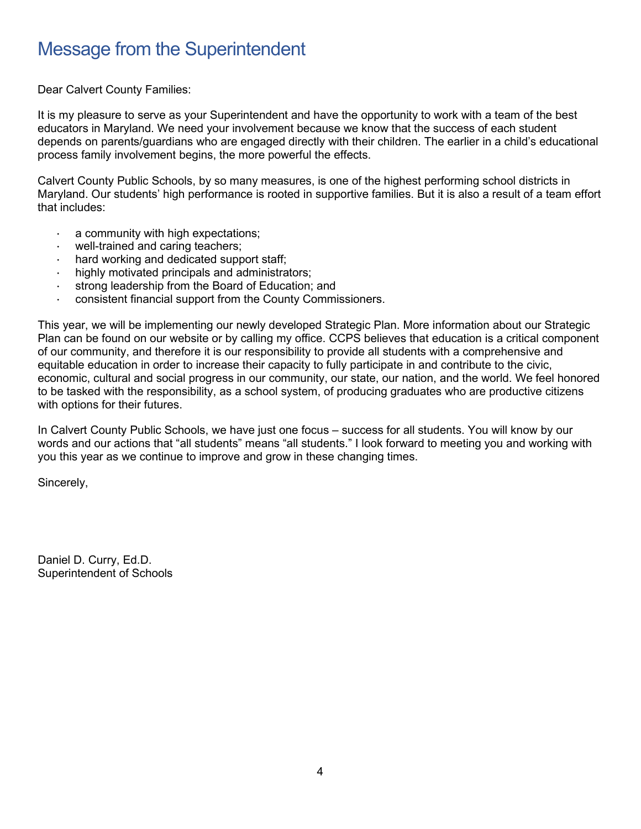## <span id="page-3-0"></span>Message from the Superintendent

Dear Calvert County Families:

It is my pleasure to serve as your Superintendent and have the opportunity to work with a team of the best educators in Maryland. We need your involvement because we know that the success of each student depends on parents/guardians who are engaged directly with their children. The earlier in a child's educational process family involvement begins, the more powerful the effects.

Calvert County Public Schools, by so many measures, is one of the highest performing school districts in Maryland. Our students' high performance is rooted in supportive families. But it is also a result of a team effort that includes:

- a community with high expectations;
- well-trained and caring teachers;
- hard working and dedicated support staff;
- · highly motivated principals and administrators;
- strong leadership from the Board of Education; and
- consistent financial support from the County Commissioners.

This year, we will be implementing our newly developed Strategic Plan. More information about our Strategic Plan can be found on our website or by calling my office. CCPS believes that education is a critical component of our community, and therefore it is our responsibility to provide all students with a comprehensive and equitable education in order to increase their capacity to fully participate in and contribute to the civic, economic, cultural and social progress in our community, our state, our nation, and the world. We feel honored to be tasked with the responsibility, as a school system, of producing graduates who are productive citizens with options for their futures.

In Calvert County Public Schools, we have just one focus – success for all students. You will know by our words and our actions that "all students" means "all students." I look forward to meeting you and working with you this year as we continue to improve and grow in these changing times.

Sincerely,

Daniel D. Curry, Ed.D. Superintendent of Schools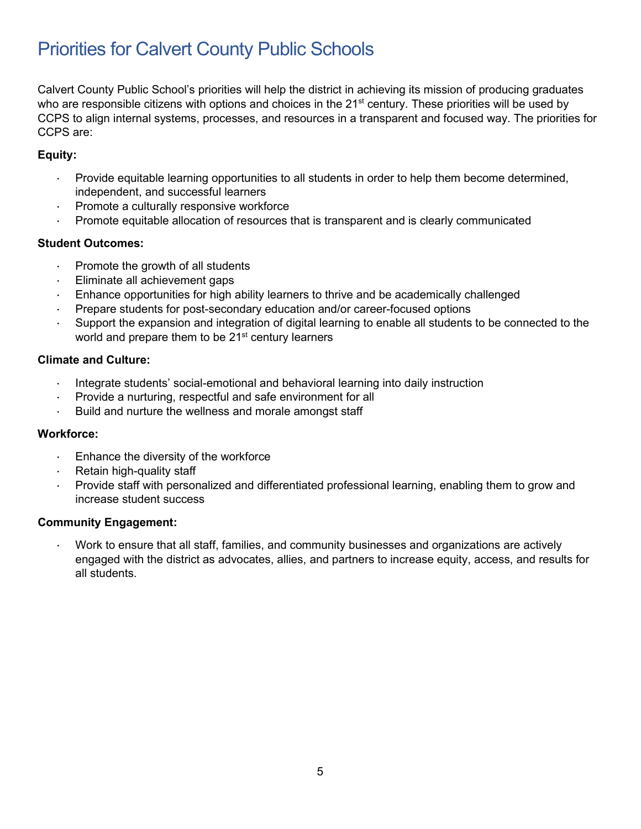## <span id="page-4-0"></span>Priorities for Calvert County Public Schools

Calvert County Public School's priorities will help the district in achieving its mission of producing graduates who are responsible citizens with options and choices in the 21<sup>st</sup> century. These priorities will be used by CCPS to align internal systems, processes, and resources in a transparent and focused way. The priorities for CCPS are:

#### **Equity:**

- · Provide equitable learning opportunities to all students in order to help them become determined, independent, and successful learners
- · Promote a culturally responsive workforce
- · Promote equitable allocation of resources that is transparent and is clearly communicated

#### **Student Outcomes:**

- Promote the growth of all students
- Eliminate all achievement gaps
- · Enhance opportunities for high ability learners to thrive and be academically challenged
- · Prepare students for post-secondary education and/or career-focused options
- · Support the expansion and integration of digital learning to enable all students to be connected to the world and prepare them to be 21<sup>st</sup> century learners

#### **Climate and Culture:**

- Integrate students' social-emotional and behavioral learning into daily instruction
- Provide a nurturing, respectful and safe environment for all
- · Build and nurture the wellness and morale amongst staff

#### **Workforce:**

- Enhance the diversity of the workforce
- · Retain high-quality staff
- Provide staff with personalized and differentiated professional learning, enabling them to grow and increase student success

#### **Community Engagement:**

· Work to ensure that all staff, families, and community businesses and organizations are actively engaged with the district as advocates, allies, and partners to increase equity, access, and results for all students.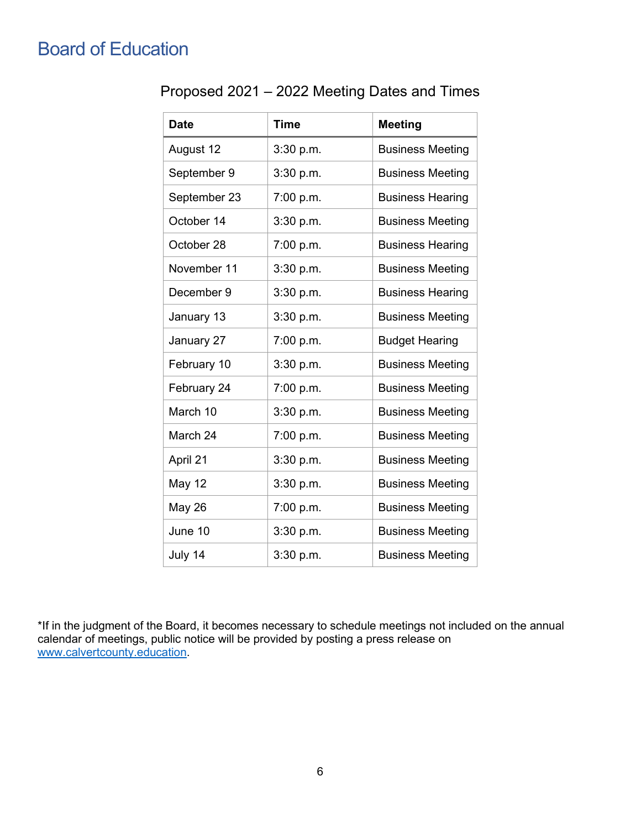## <span id="page-5-1"></span><span id="page-5-0"></span>Board of Education

| Proposed 2021 – 2022 Meeting Dates and Times |  |  |  |
|----------------------------------------------|--|--|--|
|----------------------------------------------|--|--|--|

| <b>Date</b>   | <b>Time</b> | <b>Meeting</b>          |
|---------------|-------------|-------------------------|
| August 12     | 3:30 p.m.   | <b>Business Meeting</b> |
| September 9   | 3:30 p.m.   | <b>Business Meeting</b> |
| September 23  | 7:00 p.m.   | <b>Business Hearing</b> |
| October 14    | 3:30 p.m.   | <b>Business Meeting</b> |
| October 28    | 7:00 p.m.   | <b>Business Hearing</b> |
| November 11   | 3:30 p.m.   | <b>Business Meeting</b> |
| December 9    | 3:30 p.m.   | <b>Business Hearing</b> |
| January 13    | 3:30 p.m.   | <b>Business Meeting</b> |
| January 27    | 7:00 p.m.   | <b>Budget Hearing</b>   |
| February 10   | 3:30 p.m.   | <b>Business Meeting</b> |
| February 24   | 7:00 p.m.   | <b>Business Meeting</b> |
| March 10      | 3:30 p.m.   | <b>Business Meeting</b> |
| March 24      | 7:00 p.m.   | <b>Business Meeting</b> |
| April 21      | 3:30 p.m.   | <b>Business Meeting</b> |
| May 12        | 3:30 p.m.   | <b>Business Meeting</b> |
| <b>May 26</b> | 7:00 p.m.   | <b>Business Meeting</b> |
| June 10       | 3:30 p.m.   | <b>Business Meeting</b> |
| July 14       | 3:30 p.m.   | <b>Business Meeting</b> |

\*If in the judgment of the Board, it becomes necessary to schedule meetings not included on the annual calendar of meetings, public notice will be provided by posting a press release on [www.calvertcounty.education.](https://www.calvertcounty.education/)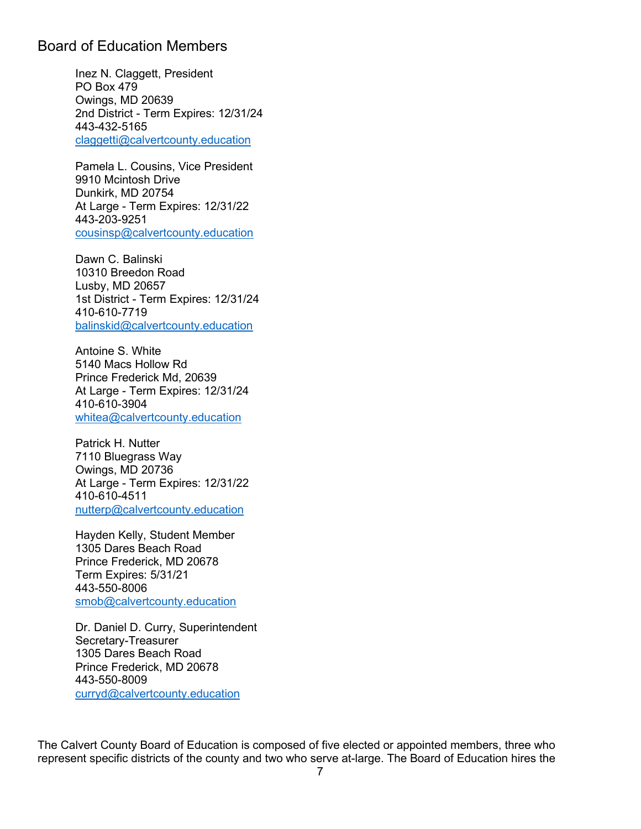#### <span id="page-6-0"></span>Board of Education Members

Inez N. Claggett, President PO Box 479 Owings, MD 20639 2nd District - Term Expires: 12/31/24 443-432-5165 [claggetti@calvertcounty.education](mailto:claggetti@calvertcounty.education)

Pamela L. Cousins, Vice President 9910 Mcintosh Drive Dunkirk, MD 20754 At Large - Term Expires: 12/31/22 443-203-9251 [cousinsp@calvertcounty.education](mailto:cousinsp@calvertcounty.education)

Dawn C. Balinski 10310 Breedon Road Lusby, MD 20657 1st District - Term Expires: 12/31/24 410-610-7719 [balinskid@calvertcounty.education](mailto:balinskid@calvertcounty.education)

Antoine S. White 5140 Macs Hollow Rd Prince Frederick Md, 20639 At Large - Term Expires: 12/31/24 410-610-3904 [whitea@calvertcounty.education](mailto:whitea@calvertcounty.education)

Patrick H. Nutter 7110 Bluegrass Way Owings, MD 20736 At Large - Term Expires: 12/31/22 410-610-4511 [nutterp@calvertcounty.education](mailto:nutterp@calvertcounty.education)

Hayden Kelly, Student Member 1305 Dares Beach Road Prince Frederick, MD 20678 Term Expires: 5/31/21 443-550-8006 [smob@calvertcounty.education](mailto:smob@calvertcounty.education)

Dr. Daniel D. Curry, Superintendent Secretary-Treasurer 1305 Dares Beach Road Prince Frederick, MD 20678 443-550-8009 [curryd@calvertcounty.education](mailto:curryd@calvertcounty.education)

The Calvert County Board of Education is composed of five elected or appointed members, three who represent specific districts of the county and two who serve at-large. The Board of Education hires the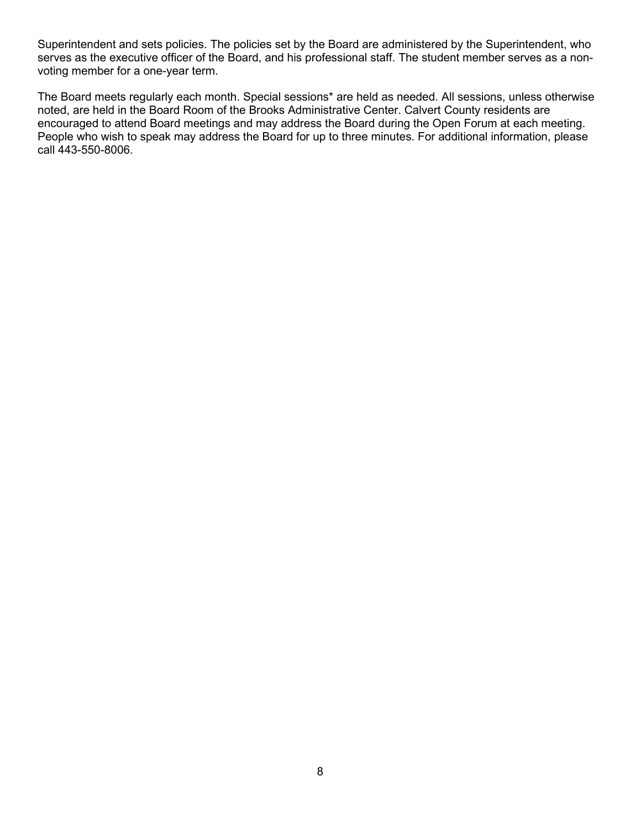Superintendent and sets policies. The policies set by the Board are administered by the Superintendent, who serves as the executive officer of the Board, and his professional staff. The student member serves as a nonvoting member for a one-year term.

The Board meets regularly each month. Special sessions\* are held as needed. All sessions, unless otherwise noted, are held in the Board Room of the Brooks Administrative Center. Calvert County residents are encouraged to attend Board meetings and may address the Board during the Open Forum at each meeting. People who wish to speak may address the Board for up to three minutes. For additional information, please call 443-550-8006.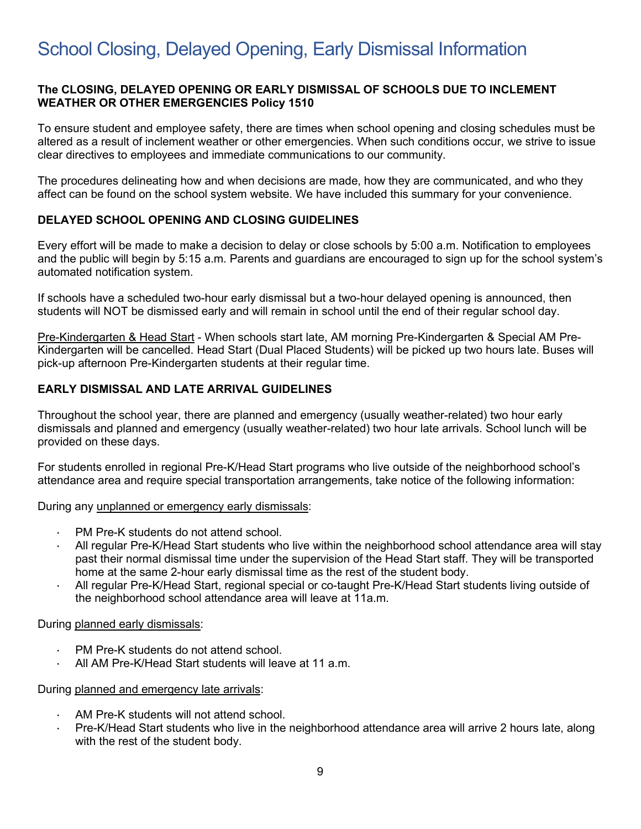## <span id="page-8-0"></span>School Closing, Delayed Opening, Early Dismissal Information

#### **The CLOSING, DELAYED OPENING OR EARLY DISMISSAL OF SCHOOLS DUE TO INCLEMENT WEATHER OR OTHER EMERGENCIES Policy 1510**

To ensure student and employee safety, there are times when school opening and closing schedules must be altered as a result of inclement weather or other emergencies. When such conditions occur, we strive to issue clear directives to employees and immediate communications to our community.

The procedures delineating how and when decisions are made, how they are communicated, and who they affect can be found on the school system website. We have included this summary for your convenience.

#### **DELAYED SCHOOL OPENING AND CLOSING GUIDELINES**

Every effort will be made to make a decision to delay or close schools by 5:00 a.m. Notification to employees and the public will begin by 5:15 a.m. Parents and guardians are encouraged to sign up for the school system's automated notification system.

If schools have a scheduled two-hour early dismissal but a two-hour delayed opening is announced, then students will NOT be dismissed early and will remain in school until the end of their regular school day.

Pre-Kindergarten & Head Start - When schools start late, AM morning Pre-Kindergarten & Special AM Pre-Kindergarten will be cancelled. Head Start (Dual Placed Students) will be picked up two hours late. Buses will pick-up afternoon Pre-Kindergarten students at their regular time.

#### **EARLY DISMISSAL AND LATE ARRIVAL GUIDELINES**

Throughout the school year, there are planned and emergency (usually weather-related) two hour early dismissals and planned and emergency (usually weather-related) two hour late arrivals. School lunch will be provided on these days.

For students enrolled in regional Pre-K/Head Start programs who live outside of the neighborhood school's attendance area and require special transportation arrangements, take notice of the following information:

During any unplanned or emergency early dismissals:

- PM Pre-K students do not attend school.
- All regular Pre-K/Head Start students who live within the neighborhood school attendance area will stay past their normal dismissal time under the supervision of the Head Start staff. They will be transported home at the same 2-hour early dismissal time as the rest of the student body.
- All regular Pre-K/Head Start, regional special or co-taught Pre-K/Head Start students living outside of the neighborhood school attendance area will leave at 11a.m.

During planned early dismissals:

- PM Pre-K students do not attend school.
- All AM Pre-K/Head Start students will leave at 11 a.m.

#### During planned and emergency late arrivals:

- AM Pre-K students will not attend school.
- Pre-K/Head Start students who live in the neighborhood attendance area will arrive 2 hours late, along with the rest of the student body.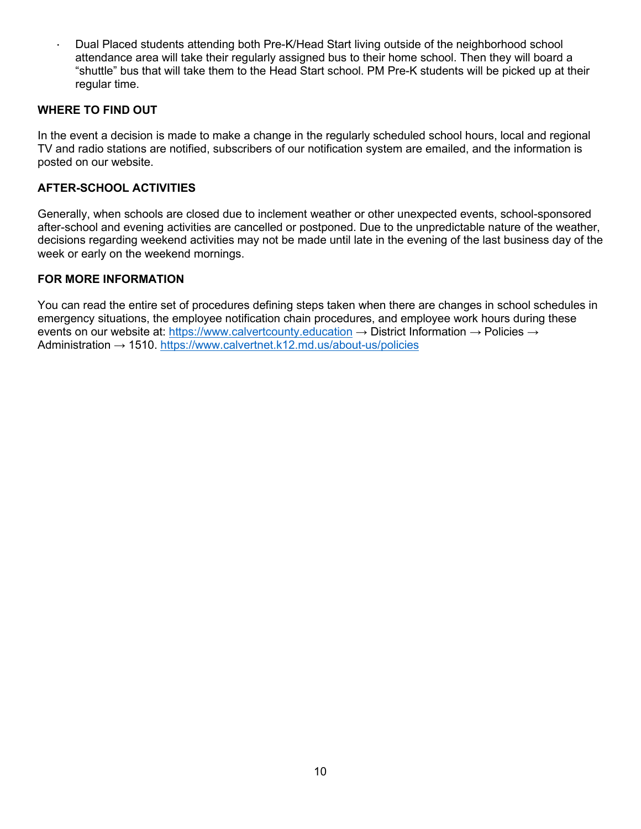· Dual Placed students attending both Pre-K/Head Start living outside of the neighborhood school attendance area will take their regularly assigned bus to their home school. Then they will board a "shuttle" bus that will take them to the Head Start school. PM Pre-K students will be picked up at their regular time.

#### **WHERE TO FIND OUT**

In the event a decision is made to make a change in the regularly scheduled school hours, local and regional TV and radio stations are notified, subscribers of our notification system are emailed, and the information is posted on our website.

#### **AFTER-SCHOOL ACTIVITIES**

Generally, when schools are closed due to inclement weather or other unexpected events, school-sponsored after-school and evening activities are cancelled or postponed. Due to the unpredictable nature of the weather, decisions regarding weekend activities may not be made until late in the evening of the last business day of the week or early on the weekend mornings.

#### **FOR MORE INFORMATION**

You can read the entire set of procedures defining steps taken when there are changes in school schedules in emergency situations, the employee notification chain procedures, and employee work hours during these events on our website at: [https://www.calvertcounty.education](https://www.calvertcounty.education/)  $\rightarrow$  District Information  $\rightarrow$  Policies  $\rightarrow$ Administration → 1510. <https://www.calvertnet.k12.md.us/about-us/policies>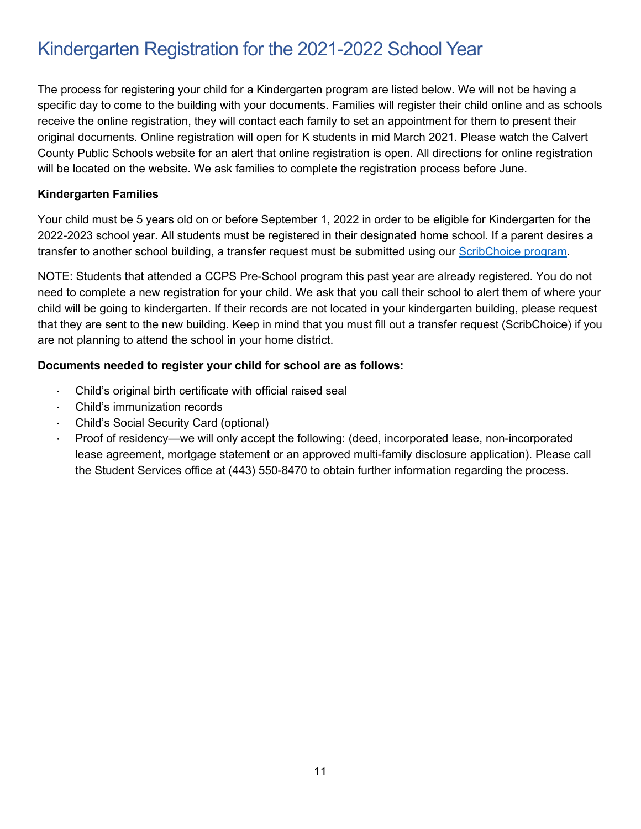## <span id="page-10-0"></span>Kindergarten Registration for the 2021-2022 School Year

The process for registering your child for a Kindergarten program are listed below. We will not be having a specific day to come to the building with your documents. Families will register their child online and as schools receive the online registration, they will contact each family to set an appointment for them to present their original documents. Online registration will open for K students in mid March 2021. Please watch the Calvert County Public Schools website for an alert that online registration is open. All directions for online registration will be located on the website. We ask families to complete the registration process before June.

#### **Kindergarten Families**

Your child must be 5 years old on or before September 1, 2022 in order to be eligible for Kindergarten for the 2022-2023 school year. All students must be registered in their designated home school. If a parent desires a transfer to another school building, a transfer request must be submitted using our [ScribChoice program.](https://calvertmdc.scriborder.com/)

NOTE: Students that attended a CCPS Pre-School program this past year are already registered. You do not need to complete a new registration for your child. We ask that you call their school to alert them of where your child will be going to kindergarten. If their records are not located in your kindergarten building, please request that they are sent to the new building. Keep in mind that you must fill out a transfer request (ScribChoice) if you are not planning to attend the school in your home district.

#### **Documents needed to register your child for school are as follows:**

- Child's original birth certificate with official raised seal
- Child's immunization records
- · Child's Social Security Card (optional)
- · Proof of residency—we will only accept the following: (deed, incorporated lease, non-incorporated lease agreement, mortgage statement or an approved multi-family disclosure application). Please call the Student Services office at (443) 550-8470 to obtain further information regarding the process.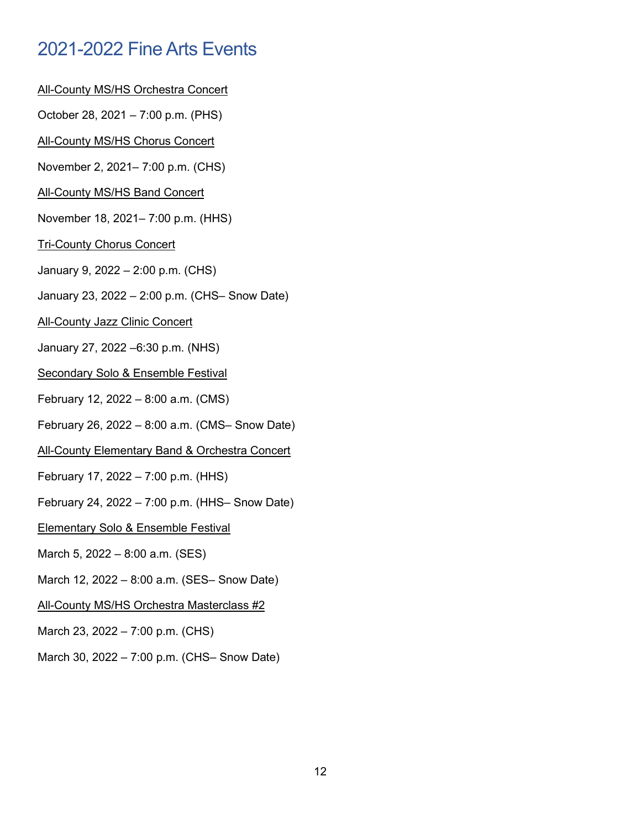## <span id="page-11-0"></span>2021-2022 Fine Arts Events

- All-County MS/HS Orchestra Concert
- October 28, 2021 7:00 p.m. (PHS)
- All-County MS/HS Chorus Concert
- November 2, 2021– 7:00 p.m. (CHS)
- All-County MS/HS Band Concert
- November 18, 2021– 7:00 p.m. (HHS)
- Tri-County Chorus Concert
- January 9, 2022 2:00 p.m. (CHS)
- January 23, 2022 2:00 p.m. (CHS– Snow Date)
- **All-County Jazz Clinic Concert**
- January 27, 2022 –6:30 p.m. (NHS)
- Secondary Solo & Ensemble Festival
- February 12, 2022 8:00 a.m. (CMS)
- February 26, 2022 8:00 a.m. (CMS– Snow Date)
- All-County Elementary Band & Orchestra Concert
- February 17, 2022 7:00 p.m. (HHS)
- February 24, 2022 7:00 p.m. (HHS– Snow Date)
- Elementary Solo & Ensemble Festival
- March 5, 2022 8:00 a.m. (SES)
- March 12, 2022 8:00 a.m. (SES– Snow Date)
- All-County MS/HS Orchestra Masterclass #2
- March 23, 2022 7:00 p.m. (CHS)
- March 30, 2022 7:00 p.m. (CHS– Snow Date)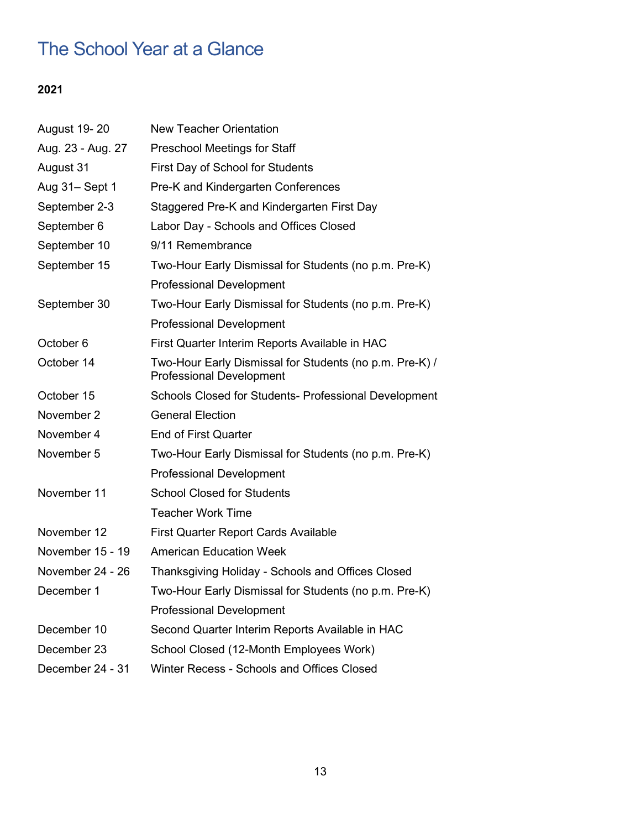## <span id="page-12-0"></span>The School Year at a Glance

## **2021**

| August 19-20      | New Teacher Orientation                                                                    |  |
|-------------------|--------------------------------------------------------------------------------------------|--|
| Aug. 23 - Aug. 27 | <b>Preschool Meetings for Staff</b>                                                        |  |
| August 31         | First Day of School for Students                                                           |  |
| Aug 31-Sept 1     | Pre-K and Kindergarten Conferences                                                         |  |
| September 2-3     | Staggered Pre-K and Kindergarten First Day                                                 |  |
| September 6       | Labor Day - Schools and Offices Closed                                                     |  |
| September 10      | 9/11 Remembrance                                                                           |  |
| September 15      | Two-Hour Early Dismissal for Students (no p.m. Pre-K)                                      |  |
|                   | <b>Professional Development</b>                                                            |  |
| September 30      | Two-Hour Early Dismissal for Students (no p.m. Pre-K)                                      |  |
|                   | <b>Professional Development</b>                                                            |  |
| October 6         | First Quarter Interim Reports Available in HAC                                             |  |
| October 14        | Two-Hour Early Dismissal for Students (no p.m. Pre-K) /<br><b>Professional Development</b> |  |
| October 15        | Schools Closed for Students- Professional Development                                      |  |
| November 2        | <b>General Election</b>                                                                    |  |
| November 4        | <b>End of First Quarter</b>                                                                |  |
| November 5        | Two-Hour Early Dismissal for Students (no p.m. Pre-K)                                      |  |
|                   | <b>Professional Development</b>                                                            |  |
| November 11       | <b>School Closed for Students</b>                                                          |  |
|                   | <b>Teacher Work Time</b>                                                                   |  |
| November 12       | <b>First Quarter Report Cards Available</b>                                                |  |
| November 15 - 19  | <b>American Education Week</b>                                                             |  |
| November 24 - 26  | Thanksgiving Holiday - Schools and Offices Closed                                          |  |
| December 1        | Two-Hour Early Dismissal for Students (no p.m. Pre-K)                                      |  |
|                   | <b>Professional Development</b>                                                            |  |
| December 10       | Second Quarter Interim Reports Available in HAC                                            |  |
| December 23       | School Closed (12-Month Employees Work)                                                    |  |
| December 24 - 31  | Winter Recess - Schools and Offices Closed                                                 |  |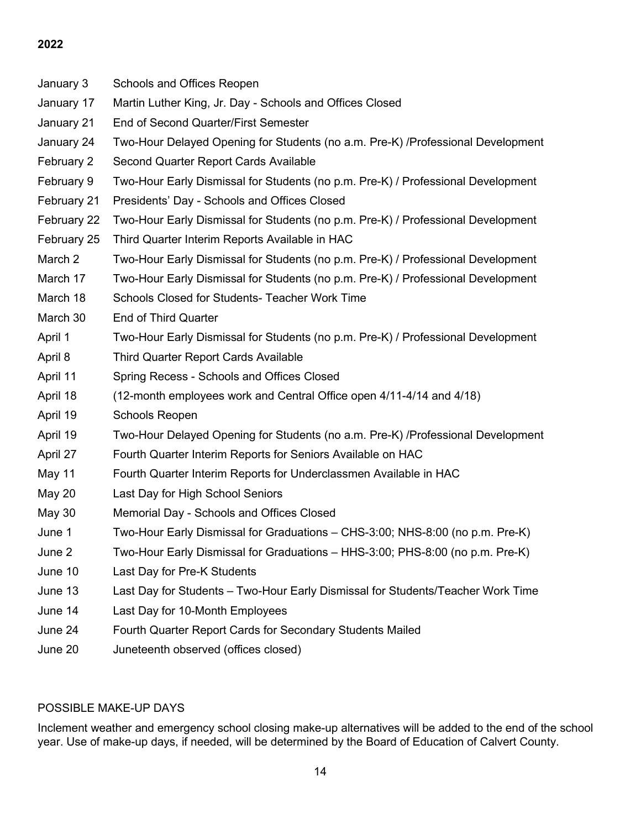#### **2022**

| January 3     | Schools and Offices Reopen                                                       |
|---------------|----------------------------------------------------------------------------------|
| January 17    | Martin Luther King, Jr. Day - Schools and Offices Closed                         |
| January 21    | End of Second Quarter/First Semester                                             |
| January 24    | Two-Hour Delayed Opening for Students (no a.m. Pre-K) /Professional Development  |
| February 2    | Second Quarter Report Cards Available                                            |
| February 9    | Two-Hour Early Dismissal for Students (no p.m. Pre-K) / Professional Development |
| February 21   | Presidents' Day - Schools and Offices Closed                                     |
| February 22   | Two-Hour Early Dismissal for Students (no p.m. Pre-K) / Professional Development |
| February 25   | Third Quarter Interim Reports Available in HAC                                   |
| March 2       | Two-Hour Early Dismissal for Students (no p.m. Pre-K) / Professional Development |
| March 17      | Two-Hour Early Dismissal for Students (no p.m. Pre-K) / Professional Development |
| March 18      | Schools Closed for Students- Teacher Work Time                                   |
| March 30      | <b>End of Third Quarter</b>                                                      |
| April 1       | Two-Hour Early Dismissal for Students (no p.m. Pre-K) / Professional Development |
| April 8       | <b>Third Quarter Report Cards Available</b>                                      |
| April 11      | Spring Recess - Schools and Offices Closed                                       |
| April 18      | (12-month employees work and Central Office open 4/11-4/14 and 4/18)             |
| April 19      | Schools Reopen                                                                   |
| April 19      | Two-Hour Delayed Opening for Students (no a.m. Pre-K) /Professional Development  |
| April 27      | Fourth Quarter Interim Reports for Seniors Available on HAC                      |
| May 11        | Fourth Quarter Interim Reports for Underclassmen Available in HAC                |
| <b>May 20</b> | Last Day for High School Seniors                                                 |
| May 30        | Memorial Day - Schools and Offices Closed                                        |
| June 1        | Two-Hour Early Dismissal for Graduations - CHS-3:00; NHS-8:00 (no p.m. Pre-K)    |
| June 2        | Two-Hour Early Dismissal for Graduations - HHS-3:00; PHS-8:00 (no p.m. Pre-K)    |
| June 10       | Last Day for Pre-K Students                                                      |
| June 13       | Last Day for Students – Two-Hour Early Dismissal for Students/Teacher Work Time  |
| June 14       | Last Day for 10-Month Employees                                                  |
| June 24       | Fourth Quarter Report Cards for Secondary Students Mailed                        |
| June 20       | Juneteenth observed (offices closed)                                             |

#### POSSIBLE MAKE-UP DAYS

Inclement weather and emergency school closing make-up alternatives will be added to the end of the school year. Use of make-up days, if needed, will be determined by the Board of Education of Calvert County.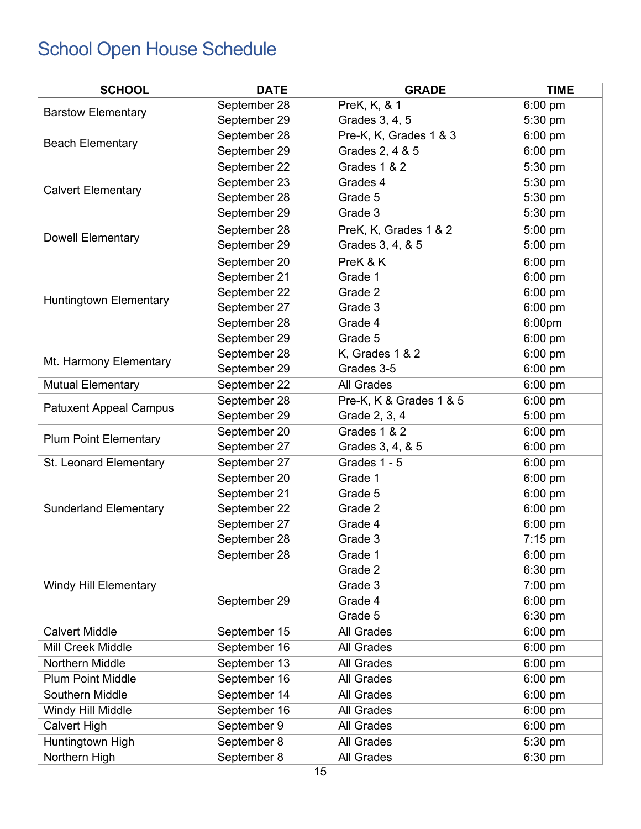## <span id="page-14-0"></span>School Open House Schedule

| <b>SCHOOL</b>                 | <b>DATE</b>  | <b>GRADE</b>            | <b>TIME</b>           |
|-------------------------------|--------------|-------------------------|-----------------------|
|                               | September 28 | PreK, K, & 1            | $\overline{6}$ :00 pm |
| <b>Barstow Elementary</b>     | September 29 | Grades 3, 4, 5          | 5:30 pm               |
|                               | September 28 | Pre-K, K, Grades 1 & 3  | $6:00$ pm             |
| <b>Beach Elementary</b>       | September 29 | Grades 2, 4 & 5         | 6:00 pm               |
|                               | September 22 | Grades 1 & 2            | 5:30 pm               |
| <b>Calvert Elementary</b>     | September 23 | Grades 4                | 5:30 pm               |
|                               | September 28 | Grade 5                 | 5:30 pm               |
|                               | September 29 | Grade 3                 | 5:30 pm               |
|                               | September 28 | PreK, K, Grades 1 & 2   | 5:00 pm               |
| <b>Dowell Elementary</b>      | September 29 | Grades 3, 4, & 5        | 5:00 pm               |
|                               | September 20 | PreK & K                | 6:00 pm               |
|                               | September 21 | Grade 1                 | 6:00 pm               |
|                               | September 22 | Grade 2                 | 6:00 pm               |
| <b>Huntingtown Elementary</b> | September 27 | Grade 3                 | 6:00 pm               |
|                               | September 28 | Grade 4                 | 6:00 <sub>pm</sub>    |
|                               | September 29 | Grade 5                 | 6:00 pm               |
| Mt. Harmony Elementary        | September 28 | K, Grades 1 & 2         | 6:00 pm               |
|                               | September 29 | Grades 3-5              | 6:00 pm               |
| <b>Mutual Elementary</b>      | September 22 | All Grades              | 6:00 pm               |
| <b>Patuxent Appeal Campus</b> | September 28 | Pre-K, K & Grades 1 & 5 | $6:00 \text{ pm}$     |
|                               | September 29 | Grade 2, 3, 4           | 5:00 pm               |
| <b>Plum Point Elementary</b>  | September 20 | Grades 1 & 2            | 6:00 pm               |
|                               | September 27 | Grades 3, 4, & 5        | 6:00 pm               |
| St. Leonard Elementary        | September 27 | Grades 1 - 5            | 6:00 pm               |
|                               | September 20 | Grade 1                 | 6:00 pm               |
|                               | September 21 | Grade 5                 | 6:00 pm               |
| <b>Sunderland Elementary</b>  | September 22 | Grade 2                 | 6:00 pm               |
|                               | September 27 | Grade 4                 | 6:00 pm               |
|                               | September 28 | Grade 3                 | 7:15 pm               |
|                               | September 28 | Grade 1                 | 6:00 pm               |
|                               |              | Grade 2                 | 6:30 pm               |
| <b>Windy Hill Elementary</b>  |              | Grade 3                 | 7:00 pm               |
|                               | September 29 | Grade 4                 | 6:00 pm               |
|                               |              | Grade 5                 | 6:30 pm               |
| <b>Calvert Middle</b>         | September 15 | <b>All Grades</b>       | 6:00 pm               |
| Mill Creek Middle             | September 16 | All Grades              | 6:00 pm               |
| Northern Middle               | September 13 | All Grades              | 6:00 pm               |
| <b>Plum Point Middle</b>      | September 16 | All Grades              | 6:00 pm               |
| Southern Middle               | September 14 | All Grades              | 6:00 pm               |
| Windy Hill Middle             | September 16 | <b>All Grades</b>       | 6:00 pm               |
| <b>Calvert High</b>           | September 9  | All Grades              | 6:00 pm               |
| Huntingtown High              | September 8  | All Grades              | $5:30$ pm             |
| Northern High                 | September 8  | All Grades              | 6:30 pm               |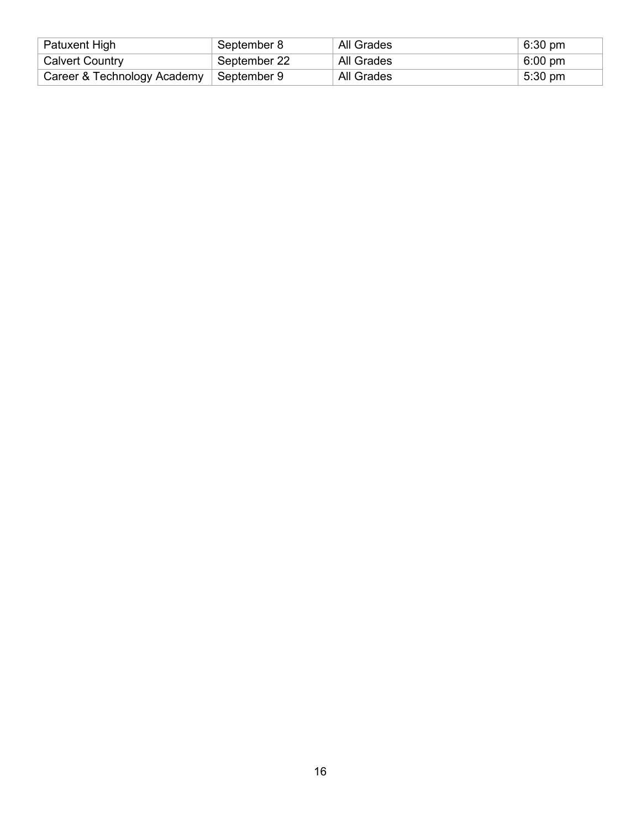| Patuxent High               | September 8   | All Grades | $6:30 \text{ pm}$ |
|-----------------------------|---------------|------------|-------------------|
| <b>Calvert Country</b>      | September 22  | All Grades | $6:00 \text{ pm}$ |
| Career & Technology Academy | ∣ September 9 | All Grades | $5:30 \text{ pm}$ |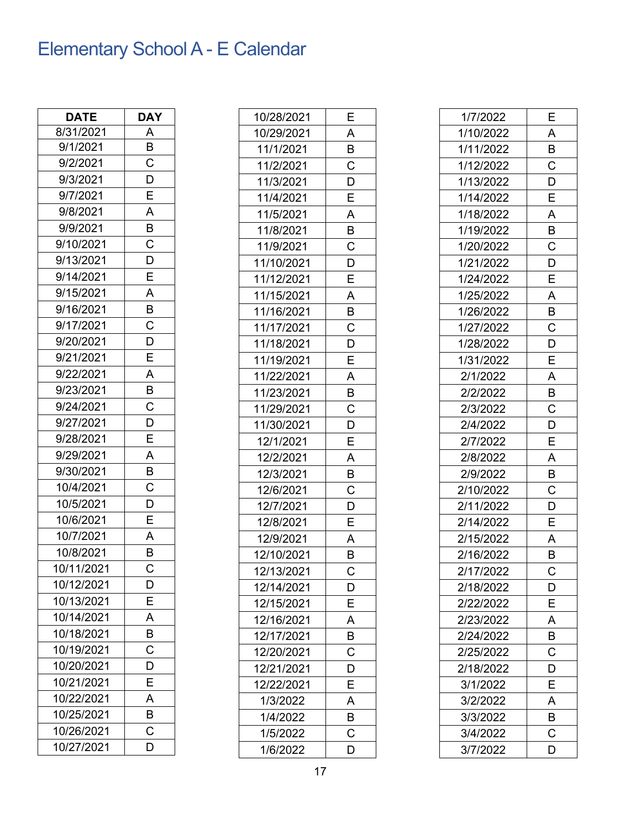## <span id="page-16-0"></span>Elementary School A - E Calendar

| <b>DATE</b> | DAY                     |
|-------------|-------------------------|
| 8/31/2021   | Α                       |
| 9/1/2021    | B                       |
| 9/2/2021    | $\overline{C}$          |
| 9/3/2021    | D                       |
| 9/7/2021    | E                       |
| 9/8/2021    | $\overline{A}$          |
| 9/9/2021    | $\overline{B}$          |
| 9/10/2021   | $\overline{\text{c}}$   |
| 9/13/2021   | $\overline{\mathsf{D}}$ |
| 9/14/2021   | E                       |
| 9/15/2021   | $\bar{A}$               |
| 9/16/2021   | B                       |
| 9/17/2021   | $\mathsf C$             |
| 9/20/2021   | D                       |
| 9/21/2021   | E                       |
| 9/22/2021   | A                       |
| 9/23/2021   | B                       |
| 9/24/2021   | C                       |
| 9/27/2021   | D                       |
| 9/28/2021   | E                       |
| 9/29/2021   | A                       |
| 9/30/2021   | B                       |
| 10/4/2021   | C                       |
| 10/5/2021   | $\overline{D}$          |
| 10/6/2021   | E                       |
| 10/7/2021   | $\overline{A}$          |
| 10/8/2021   | $\overline{\mathsf{B}}$ |
| 10/11/2021  | С                       |
| 10/12/2021  | D                       |
| 10/13/2021  | E                       |
| 10/14/2021  | A                       |
| 10/18/2021  | B                       |
| 10/19/2021  | $\mathsf C$             |
| 10/20/2021  | D                       |
| 10/21/2021  | E                       |
| 10/22/2021  | A                       |
| 10/25/2021  | В                       |
| 10/26/2021  | С                       |
| 10/27/2021  | D                       |

| E                  |
|--------------------|
| A                  |
| B                  |
| C                  |
| D                  |
| E                  |
| A                  |
| B                  |
| C                  |
| D                  |
| E                  |
| A                  |
| B                  |
| C                  |
| $\overline{D}$     |
| E                  |
| A                  |
| Β                  |
| С                  |
| D                  |
| E                  |
| A                  |
| B                  |
| C                  |
| D                  |
| E                  |
| A                  |
| В                  |
| C                  |
| D                  |
| Ε                  |
| A                  |
| В                  |
| C                  |
| D                  |
| E                  |
| A                  |
| В                  |
|                    |
| $\overline{\rm c}$ |
|                    |

| 1/7/2022  | Ε |
|-----------|---|
| 1/10/2022 | Α |
| 1/11/2022 | B |
| 1/12/2022 | Ć |
| 1/13/2022 | D |
| 1/14/2022 | Е |
| 1/18/2022 | A |
| 1/19/2022 | В |
| 1/20/2022 | Ć |
| 1/21/2022 | D |
| 1/24/2022 | E |
| 1/25/2022 | A |
| 1/26/2022 | В |
| 1/27/2022 | С |
| 1/28/2022 | D |
| 1/31/2022 | Е |
| 2/1/2022  | A |
| 2/2/2022  | В |
| 2/3/2022  | C |
| 2/4/2022  | D |
| 2/7/2022  | E |
| 2/8/2022  | Α |
| 2/9/2022  | B |
| 2/10/2022 | С |
| 2/11/2022 | D |
| 2/14/2022 | E |
| 2/15/2022 | A |
| 2/16/2022 | B |
| 2/17/2022 | Ć |
| 2/18/2022 | D |
| 2/22/2022 | E |
| 2/23/2022 | A |
| 2/24/2022 | B |
| 2/25/2022 | Ċ |
| 2/18/2022 | D |
| 3/1/2022  | E |
| 3/2/2022  | Α |
| 3/3/2022  | B |
| 3/4/2022  | С |
| 3/7/2022  | D |
|           |   |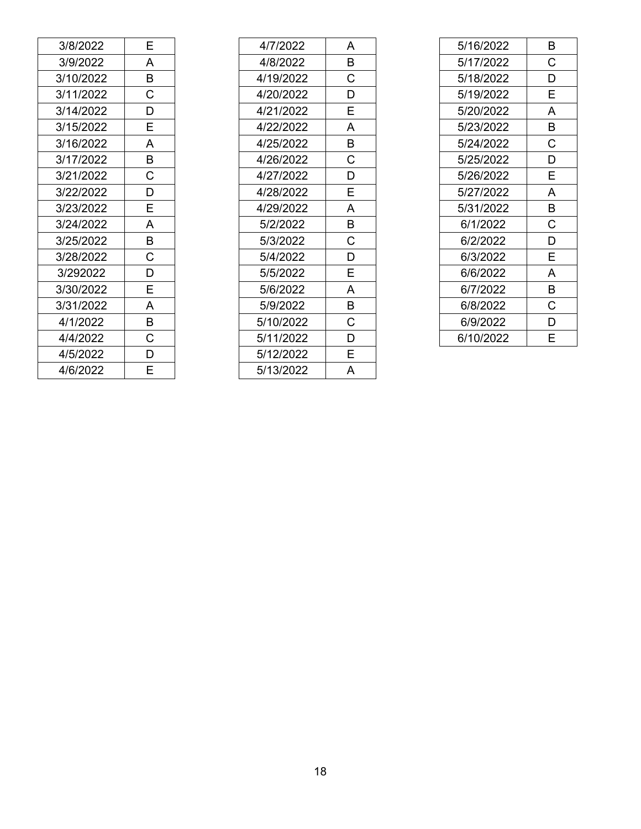| 3/8/2022  | E           |
|-----------|-------------|
| 3/9/2022  | A           |
| 3/10/2022 | B           |
| 3/11/2022 | $\mathsf C$ |
| 3/14/2022 | D           |
| 3/15/2022 | E           |
| 3/16/2022 | A           |
| 3/17/2022 | B           |
| 3/21/2022 | C           |
| 3/22/2022 | D           |
| 3/23/2022 | Ė           |
| 3/24/2022 | A           |
| 3/25/2022 | B           |
| 3/28/2022 | C           |
| 3/292022  | D           |
| 3/30/2022 | E           |
| 3/31/2022 | A           |
| 4/1/2022  | B           |
| 4/4/2022  | Ċ           |
| 4/5/2022  | D           |
| 4/6/2022  | F           |

| 4/7/2022  | А |
|-----------|---|
| 4/8/2022  | B |
| 4/19/2022 | Ć |
| 4/20/2022 | D |
| 4/21/2022 | E |
| 4/22/2022 | A |
| 4/25/2022 | B |
| 4/26/2022 | C |
| 4/27/2022 | D |
| 4/28/2022 | E |
| 4/29/2022 | A |
| 5/2/2022  | B |
| 5/3/2022  | C |
| 5/4/2022  | D |
| 5/5/2022  | E |
| 5/6/2022  | A |
| 5/9/2022  | B |
| 5/10/2022 | Ć |
| 5/11/2022 | D |
| 5/12/2022 | E |
| 5/13/2022 | А |

| 5/16/2022 | B |
|-----------|---|
| 5/17/2022 | С |
| 5/18/2022 | D |
| 5/19/2022 | E |
| 5/20/2022 | A |
| 5/23/2022 | B |
| 5/24/2022 | Ć |
| 5/25/2022 | D |
| 5/26/2022 | E |
| 5/27/2022 | A |
| 5/31/2022 | B |
| 6/1/2022  | С |
| 6/2/2022  | D |
| 6/3/2022  | E |
| 6/6/2022  | A |
| 6/7/2022  | B |
| 6/8/2022  | Ć |
| 6/9/2022  | D |
| 6/10/2022 | E |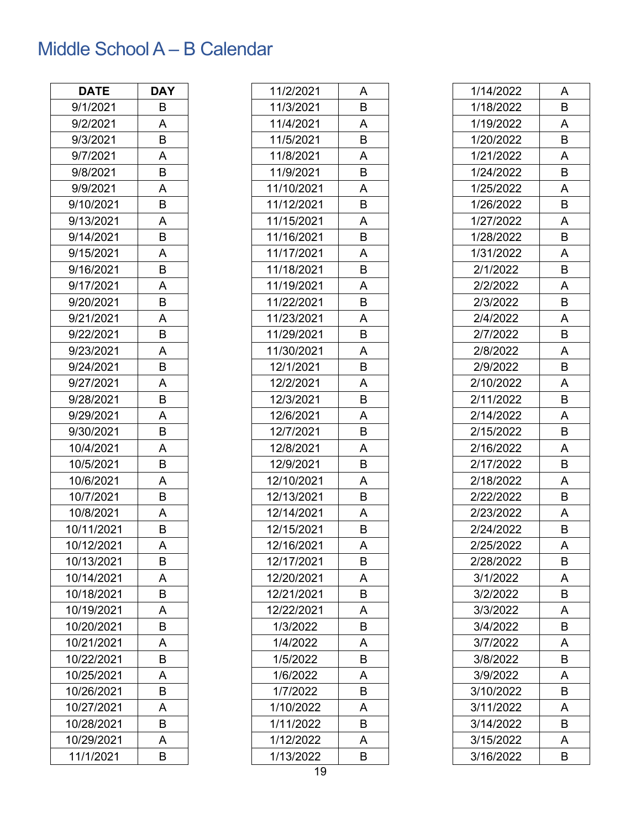## <span id="page-18-0"></span>Middle SchoolA – B Calendar

| <b>DATE</b> | <b>DAY</b> |
|-------------|------------|
| 9/1/2021    | В          |
| 9/2/2021    | А          |
| 9/3/2021    | B          |
| 9/7/2021    | A          |
| 9/8/2021    | B          |
| 9/9/2021    | Α          |
| 9/10/2021   | B          |
| 9/13/2021   | Α          |
| 9/14/2021   | B          |
| 9/15/2021   | Α          |
| 9/16/2021   | В          |
| 9/17/2021   | Α          |
| 9/20/2021   | В          |
| 9/21/2021   | Α          |
| 9/22/2021   | В          |
| 9/23/2021   | Α          |
| 9/24/2021   | B          |
| 9/27/2021   | Α          |
| 9/28/2021   | B          |
| 9/29/2021   | Α          |
| 9/30/2021   | В          |
| 10/4/2021   | Α          |
| 10/5/2021   | В          |
| 10/6/2021   | Α          |
| 10/7/2021   | В          |
| 10/8/2021   | Α          |
| 10/11/2021  | B          |
| 10/12/2021  | A          |
| 10/13/2021  | B          |
| 10/14/2021  | Α          |
| 10/18/2021  | B          |
| 10/19/2021  | Α          |
| 10/20/2021  | B          |
| 10/21/2021  | Α          |
| 10/22/2021  | B          |
| 10/25/2021  | A          |
| 10/26/2021  | В          |
| 10/27/2021  | Α          |
| 10/28/2021  | B          |
| 10/29/2021  | A          |
| 11/1/2021   | B          |

| 11/2/2021  | Α |
|------------|---|
| 11/3/2021  | B |
| 11/4/2021  | Α |
| 11/5/2021  | B |
| 11/8/2021  | Α |
| 11/9/2021  | B |
| 11/10/2021 | A |
| 11/12/2021 | B |
| 11/15/2021 | A |
| 11/16/2021 | B |
| 11/17/2021 | Α |
| 11/18/2021 | B |
| 11/19/2021 | Α |
| 11/22/2021 | B |
| 11/23/2021 | Α |
| 11/29/2021 | B |
| 11/30/2021 | Α |
| 12/1/2021  | B |
| 12/2/2021  | Α |
| 12/3/2021  | B |
| 12/6/2021  | Α |
| 12/7/2021  | B |
| 12/8/2021  | A |
| 12/9/2021  | B |
| 12/10/2021 | Α |
| 12/13/2021 | B |
| 12/14/2021 | Α |
| 12/15/2021 | B |
| 12/16/2021 | Α |
| 12/17/2021 | В |
| 12/20/2021 | Α |
| 12/21/2021 | В |
| 12/22/2021 | A |
| 1/3/2022   | B |
| 1/4/2022   | Α |
| 1/5/2022   | B |
| 1/6/2022   | A |
| 1/7/2022   | В |
| 1/10/2022  | Α |
| 1/11/2022  | B |
| 1/12/2022  | Α |
| 1/13/2022  | В |

| 1/14/2022 | Α |
|-----------|---|
| 1/18/2022 | В |
| 1/19/2022 | Α |
| 1/20/2022 | B |
| 1/21/2022 | Α |
| 1/24/2022 | B |
| 1/25/2022 | Α |
| 1/26/2022 | В |
| 1/27/2022 | Α |
| 1/28/2022 | B |
| 1/31/2022 | Α |
| 2/1/2022  | В |
| 2/2/2022  | A |
| 2/3/2022  | В |
| 2/4/2022  | Α |
| 2/7/2022  | B |
| 2/8/2022  | Α |
| 2/9/2022  | B |
| 2/10/2022 | Α |
| 2/11/2022 | В |
| 2/14/2022 | Α |
| 2/15/2022 | В |
| 2/16/2022 | Α |
| 2/17/2022 | В |
| 2/18/2022 | Α |
| 2/22/2022 | В |
| 2/23/2022 | Α |
| 2/24/2022 | B |
| 2/25/2022 | A |
| 2/28/2022 | В |
| 3/1/2022  | Α |
| 3/2/2022  | B |
| 3/3/2022  | Α |
| 3/4/2022  | В |
| 3/7/2022  | Α |
| 3/8/2022  | B |
| 3/9/2022  | Α |
| 3/10/2022 | B |
| 3/11/2022 | Α |
| 3/14/2022 | B |
| 3/15/2022 | Α |
| 3/16/2022 | B |
|           |   |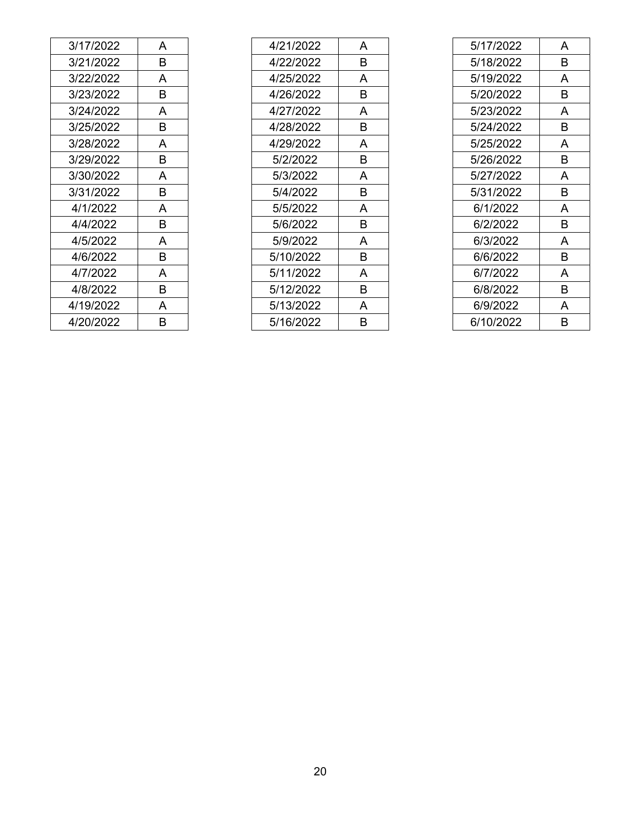| 3/17/2022 | А |
|-----------|---|
| 3/21/2022 | В |
| 3/22/2022 | A |
| 3/23/2022 | в |
| 3/24/2022 | A |
| 3/25/2022 | B |
| 3/28/2022 | A |
| 3/29/2022 | В |
| 3/30/2022 | A |
| 3/31/2022 | В |
| 4/1/2022  | A |
| 4/4/2022  | В |
| 4/5/2022  | A |
| 4/6/2022  | В |
| 4/7/2022  | A |
| 4/8/2022  | в |
| 4/19/2022 | A |
| 4/20/2022 | в |

| 4/21/2022 | A |
|-----------|---|
| 4/22/2022 | В |
| 4/25/2022 | A |
| 4/26/2022 | в |
| 4/27/2022 | A |
| 4/28/2022 | в |
| 4/29/2022 | A |
| 5/2/2022  | B |
| 5/3/2022  | A |
| 5/4/2022  | В |
| 5/5/2022  | A |
| 5/6/2022  | в |
| 5/9/2022  | A |
| 5/10/2022 | В |
| 5/11/2022 | A |
| 5/12/2022 | в |
| 5/13/2022 | A |
| 5/16/2022 | R |

| 5/17/2022 | A |
|-----------|---|
| 5/18/2022 | В |
| 5/19/2022 | A |
| 5/20/2022 | В |
| 5/23/2022 | A |
| 5/24/2022 | В |
| 5/25/2022 | A |
| 5/26/2022 | в |
| 5/27/2022 | A |
| 5/31/2022 | B |
| 6/1/2022  | A |
| 6/2/2022  | В |
| 6/3/2022  | A |
| 6/6/2022  | В |
| 6/7/2022  | A |
| 6/8/2022  | в |
| 6/9/2022  | А |
| 6/10/2022 | R |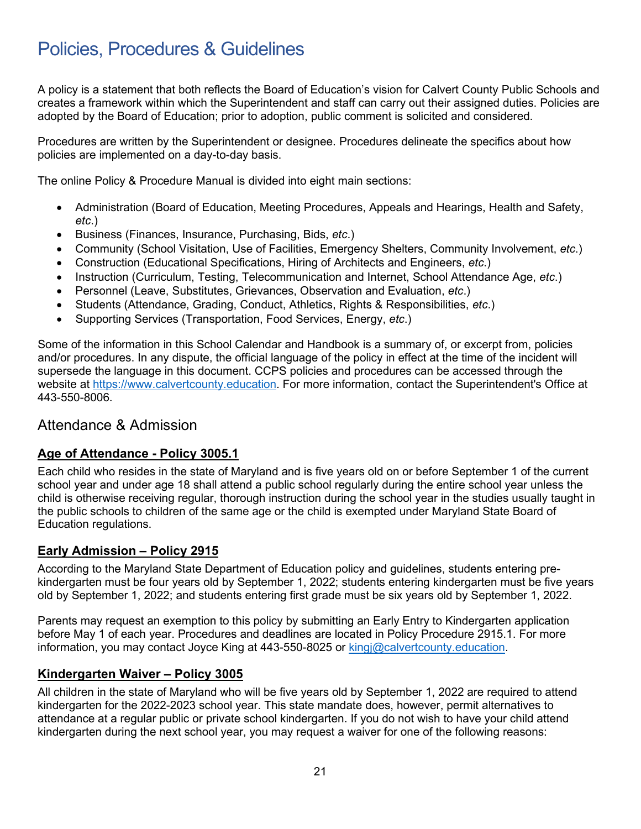## <span id="page-20-0"></span>Policies, Procedures & Guidelines

A policy is a statement that both reflects the Board of Education's vision for Calvert County Public Schools and creates a framework within which the Superintendent and staff can carry out their assigned duties. Policies are adopted by the Board of Education; prior to adoption, public comment is solicited and considered.

Procedures are written by the Superintendent or designee. Procedures delineate the specifics about how policies are implemented on a day-to-day basis.

The online Policy & Procedure Manual is divided into eight main sections:

- Administration (Board of Education, Meeting Procedures, Appeals and Hearings, Health and Safety, *etc*.)
- Business (Finances, Insurance, Purchasing, Bids, *etc*.)
- Community (School Visitation, Use of Facilities, Emergency Shelters, Community Involvement, *etc*.)
- Construction (Educational Specifications, Hiring of Architects and Engineers, *etc*.)
- Instruction (Curriculum, Testing, Telecommunication and Internet, School Attendance Age, *etc*.)
- Personnel (Leave, Substitutes, Grievances, Observation and Evaluation, *etc*.)
- Students (Attendance, Grading, Conduct, Athletics, Rights & Responsibilities, *etc*.)
- Supporting Services (Transportation, Food Services, Energy, *etc*.)

Some of the information in this School Calendar and Handbook is a summary of, or excerpt from, policies and/or procedures. In any dispute, the official language of the policy in effect at the time of the incident will supersede the language in this document. CCPS policies and procedures can be accessed through the website at [https://www.calvertcounty.education.](https://www.calvertcounty.education/) For more information, contact the Superintendent's Office at 443-550-8006.

#### <span id="page-20-1"></span>Attendance & Admission

#### <span id="page-20-2"></span>**Age of Attendance - Policy 3005.1**

Each child who resides in the state of Maryland and is five years old on or before September 1 of the current school year and under age 18 shall attend a public school regularly during the entire school year unless the child is otherwise receiving regular, thorough instruction during the school year in the studies usually taught in the public schools to children of the same age or the child is exempted under Maryland State Board of Education regulations.

#### <span id="page-20-3"></span>**Early Admission – Policy 2915**

According to the Maryland State Department of Education policy and guidelines, students entering prekindergarten must be four years old by September 1, 2022; students entering kindergarten must be five years old by September 1, 2022; and students entering first grade must be six years old by September 1, 2022.

Parents may request an exemption to this policy by submitting an Early Entry to Kindergarten application before May 1 of each year. Procedures and deadlines are located in Policy Procedure 2915.1. For more information, you may contact Joyce King at 443-550-8025 or [kingj@calvertcounty.education.](mailto:kingj@calvertnet.k12.md.us)

#### <span id="page-20-4"></span>**Kindergarten Waiver – Policy 3005**

All children in the state of Maryland who will be five years old by September 1, 2022 are required to attend kindergarten for the 2022-2023 school year. This state mandate does, however, permit alternatives to attendance at a regular public or private school kindergarten. If you do not wish to have your child attend kindergarten during the next school year, you may request a waiver for one of the following reasons: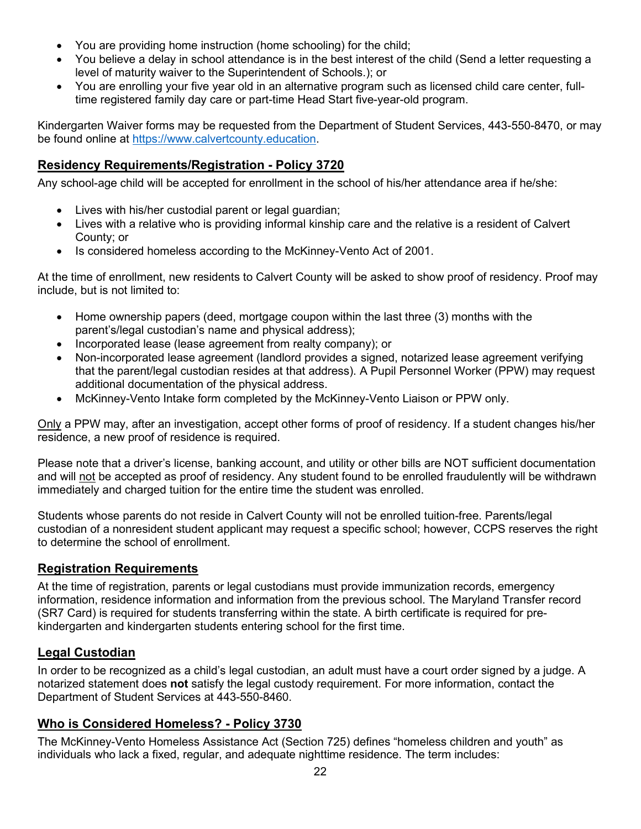- You are providing home instruction (home schooling) for the child;
- You believe a delay in school attendance is in the best interest of the child (Send a letter requesting a level of maturity waiver to the Superintendent of Schools.); or
- You are enrolling your five year old in an alternative program such as licensed child care center, fulltime registered family day care or part-time Head Start five-year-old program.

Kindergarten Waiver forms may be requested from the Department of Student Services, 443-550-8470, or may be found online at [https://www.calvertcounty.education.](https://www.calvertcounty.education/)

#### <span id="page-21-0"></span>**Residency Requirements/Registration - Policy 3720**

Any school-age child will be accepted for enrollment in the school of his/her attendance area if he/she:

- Lives with his/her custodial parent or legal guardian;
- Lives with a relative who is providing informal kinship care and the relative is a resident of Calvert County; or
- Is considered homeless according to the McKinney-Vento Act of 2001.

At the time of enrollment, new residents to Calvert County will be asked to show proof of residency. Proof may include, but is not limited to:

- Home ownership papers (deed, mortgage coupon within the last three (3) months with the parent's/legal custodian's name and physical address);
- Incorporated lease (lease agreement from realty company); or
- Non-incorporated lease agreement (landlord provides a signed, notarized lease agreement verifying that the parent/legal custodian resides at that address). A Pupil Personnel Worker (PPW) may request additional documentation of the physical address.
- McKinney-Vento Intake form completed by the McKinney-Vento Liaison or PPW only.

Only a PPW may, after an investigation, accept other forms of proof of residency. If a student changes his/her residence, a new proof of residence is required.

Please note that a driver's license, banking account, and utility or other bills are NOT sufficient documentation and will not be accepted as proof of residency. Any student found to be enrolled fraudulently will be withdrawn immediately and charged tuition for the entire time the student was enrolled.

Students whose parents do not reside in Calvert County will not be enrolled tuition-free. Parents/legal custodian of a nonresident student applicant may request a specific school; however, CCPS reserves the right to determine the school of enrollment.

#### <span id="page-21-1"></span>**Registration Requirements**

At the time of registration, parents or legal custodians must provide immunization records, emergency information, residence information and information from the previous school. The Maryland Transfer record (SR7 Card) is required for students transferring within the state. A birth certificate is required for prekindergarten and kindergarten students entering school for the first time.

#### <span id="page-21-2"></span>**Legal Custodian**

In order to be recognized as a child's legal custodian, an adult must have a court order signed by a judge. A notarized statement does **not** satisfy the legal custody requirement. For more information, contact the Department of Student Services at 443-550-8460.

#### <span id="page-21-3"></span>**Who is Considered Homeless? - Policy 3730**

The McKinney-Vento Homeless Assistance Act (Section 725) defines "homeless children and youth" as individuals who lack a fixed, regular, and adequate nighttime residence. The term includes: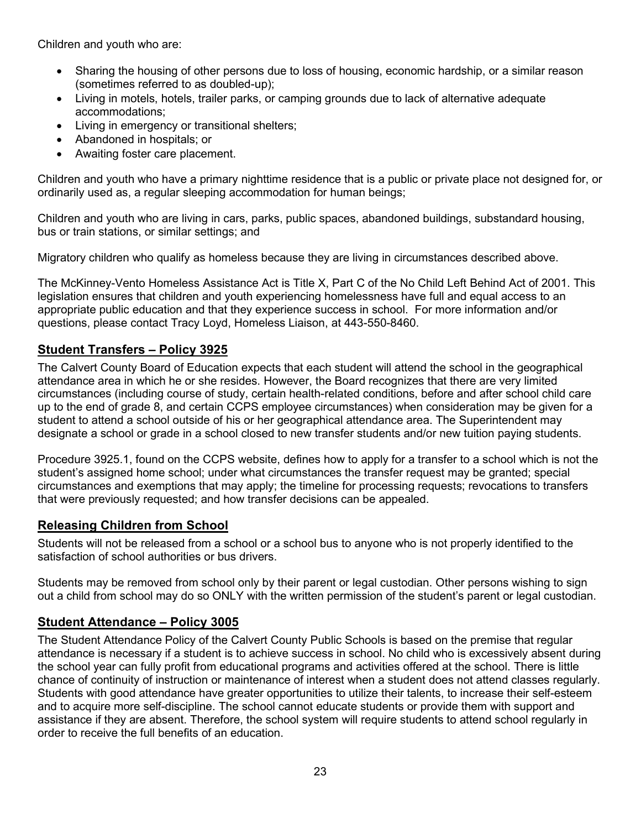Children and youth who are:

- Sharing the housing of other persons due to loss of housing, economic hardship, or a similar reason (sometimes referred to as doubled-up);
- Living in motels, hotels, trailer parks, or camping grounds due to lack of alternative adequate accommodations;
- Living in emergency or transitional shelters;
- Abandoned in hospitals; or
- Awaiting foster care placement.

Children and youth who have a primary nighttime residence that is a public or private place not designed for, or ordinarily used as, a regular sleeping accommodation for human beings;

Children and youth who are living in cars, parks, public spaces, abandoned buildings, substandard housing, bus or train stations, or similar settings; and

Migratory children who qualify as homeless because they are living in circumstances described above.

The McKinney-Vento Homeless Assistance Act is Title X, Part C of the No Child Left Behind Act of 2001. This legislation ensures that children and youth experiencing homelessness have full and equal access to an appropriate public education and that they experience success in school. For more information and/or questions, please contact Tracy Loyd, Homeless Liaison, at 443-550-8460.

### <span id="page-22-0"></span>**Student Transfers – Policy 3925**

The Calvert County Board of Education expects that each student will attend the school in the geographical attendance area in which he or she resides. However, the Board recognizes that there are very limited circumstances (including course of study, certain health-related conditions, before and after school child care up to the end of grade 8, and certain CCPS employee circumstances) when consideration may be given for a student to attend a school outside of his or her geographical attendance area. The Superintendent may designate a school or grade in a school closed to new transfer students and/or new tuition paying students.

Procedure 3925.1, found on the CCPS website, defines how to apply for a transfer to a school which is not the student's assigned home school; under what circumstances the transfer request may be granted; special circumstances and exemptions that may apply; the timeline for processing requests; revocations to transfers that were previously requested; and how transfer decisions can be appealed.

#### <span id="page-22-1"></span>**Releasing Children from School**

Students will not be released from a school or a school bus to anyone who is not properly identified to the satisfaction of school authorities or bus drivers.

Students may be removed from school only by their parent or legal custodian. Other persons wishing to sign out a child from school may do so ONLY with the written permission of the student's parent or legal custodian.

#### <span id="page-22-2"></span>**Student Attendance – Policy 3005**

The Student Attendance Policy of the Calvert County Public Schools is based on the premise that regular attendance is necessary if a student is to achieve success in school. No child who is excessively absent during the school year can fully profit from educational programs and activities offered at the school. There is little chance of continuity of instruction or maintenance of interest when a student does not attend classes regularly. Students with good attendance have greater opportunities to utilize their talents, to increase their self-esteem and to acquire more self-discipline. The school cannot educate students or provide them with support and assistance if they are absent. Therefore, the school system will require students to attend school regularly in order to receive the full benefits of an education.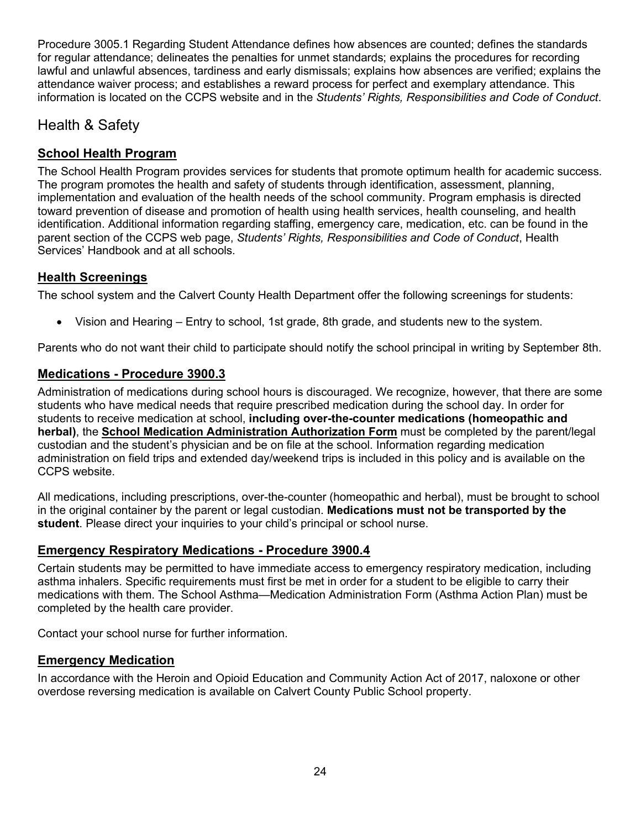Procedure 3005.1 Regarding Student Attendance defines how absences are counted; defines the standards for regular attendance; delineates the penalties for unmet standards; explains the procedures for recording lawful and unlawful absences, tardiness and early dismissals; explains how absences are verified; explains the attendance waiver process; and establishes a reward process for perfect and exemplary attendance. This information is located on the CCPS website and in the *Students' Rights, Responsibilities and Code of Conduct*.

## <span id="page-23-0"></span>Health & Safety

### <span id="page-23-1"></span>**School Health Program**

The School Health Program provides services for students that promote optimum health for academic success. The program promotes the health and safety of students through identification, assessment, planning, implementation and evaluation of the health needs of the school community. Program emphasis is directed toward prevention of disease and promotion of health using health services, health counseling, and health identification. Additional information regarding staffing, emergency care, medication, etc. can be found in the parent section of the CCPS web page, *Students' Rights, Responsibilities and Code of Conduct*, Health Services' Handbook and at all schools.

### <span id="page-23-2"></span>**Health Screenings**

The school system and the Calvert County Health Department offer the following screenings for students:

• Vision and Hearing – Entry to school, 1st grade, 8th grade, and students new to the system.

Parents who do not want their child to participate should notify the school principal in writing by September 8th.

#### <span id="page-23-3"></span>**Medications - Procedure 3900.3**

Administration of medications during school hours is discouraged. We recognize, however, that there are some students who have medical needs that require prescribed medication during the school day. In order for students to receive medication at school, **including over-the-counter medications (homeopathic and herbal)**, the **School Medication Administration Authorization Form** must be completed by the parent/legal custodian and the student's physician and be on file at the school. Information regarding medication administration on field trips and extended day/weekend trips is included in this policy and is available on the CCPS website.

All medications, including prescriptions, over-the-counter (homeopathic and herbal), must be brought to school in the original container by the parent or legal custodian. **Medications must not be transported by the student**. Please direct your inquiries to your child's principal or school nurse.

#### <span id="page-23-4"></span>**Emergency Respiratory Medications - Procedure 3900.4**

Certain students may be permitted to have immediate access to emergency respiratory medication, including asthma inhalers. Specific requirements must first be met in order for a student to be eligible to carry their medications with them. The School Asthma—Medication Administration Form (Asthma Action Plan) must be completed by the health care provider.

Contact your school nurse for further information.

#### <span id="page-23-5"></span>**Emergency Medication**

In accordance with the Heroin and Opioid Education and Community Action Act of 2017, naloxone or other overdose reversing medication is available on Calvert County Public School property.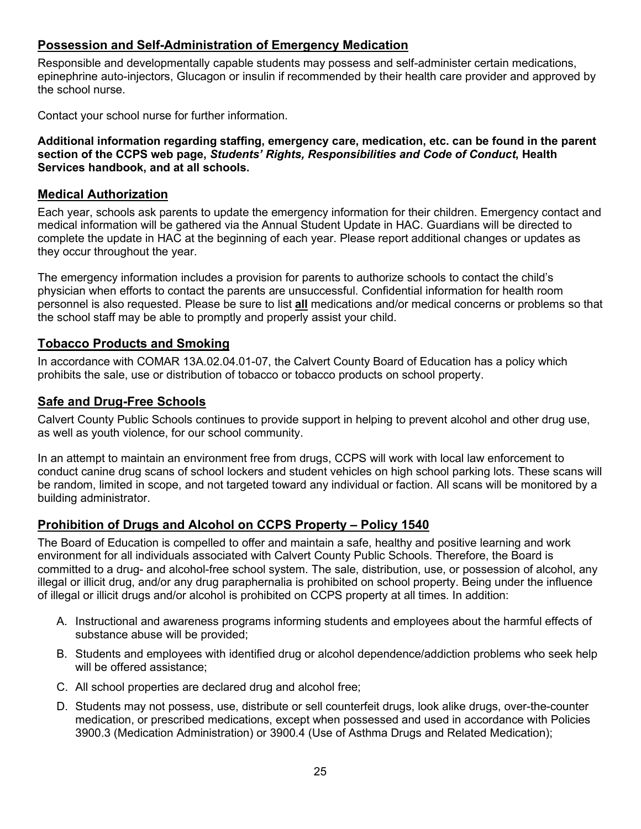#### <span id="page-24-0"></span>**Possession and Self-Administration of Emergency Medication**

Responsible and developmentally capable students may possess and self-administer certain medications, epinephrine auto-injectors, Glucagon or insulin if recommended by their health care provider and approved by the school nurse.

Contact your school nurse for further information.

**Additional information regarding staffing, emergency care, medication, etc. can be found in the parent section of the CCPS web page,** *Students' Rights, Responsibilities and Code of Conduct***, Health Services handbook, and at all schools.**

#### <span id="page-24-1"></span>**Medical Authorization**

Each year, schools ask parents to update the emergency information for their children. Emergency contact and medical information will be gathered via the Annual Student Update in HAC. Guardians will be directed to complete the update in HAC at the beginning of each year. Please report additional changes or updates as they occur throughout the year.

The emergency information includes a provision for parents to authorize schools to contact the child's physician when efforts to contact the parents are unsuccessful. Confidential information for health room personnel is also requested. Please be sure to list **all** medications and/or medical concerns or problems so that the school staff may be able to promptly and properly assist your child.

#### <span id="page-24-2"></span>**Tobacco Products and Smoking**

In accordance with COMAR 13A.02.04.01-07, the Calvert County Board of Education has a policy which prohibits the sale, use or distribution of tobacco or tobacco products on school property.

#### <span id="page-24-3"></span>**Safe and Drug-Free Schools**

Calvert County Public Schools continues to provide support in helping to prevent alcohol and other drug use, as well as youth violence, for our school community.

In an attempt to maintain an environment free from drugs, CCPS will work with local law enforcement to conduct canine drug scans of school lockers and student vehicles on high school parking lots. These scans will be random, limited in scope, and not targeted toward any individual or faction. All scans will be monitored by a building administrator.

#### <span id="page-24-4"></span>**Prohibition of Drugs and Alcohol on CCPS Property – Policy 1540**

The Board of Education is compelled to offer and maintain a safe, healthy and positive learning and work environment for all individuals associated with Calvert County Public Schools. Therefore, the Board is committed to a drug- and alcohol-free school system. The sale, distribution, use, or possession of alcohol, any illegal or illicit drug, and/or any drug paraphernalia is prohibited on school property. Being under the influence of illegal or illicit drugs and/or alcohol is prohibited on CCPS property at all times. In addition:

- A. Instructional and awareness programs informing students and employees about the harmful effects of substance abuse will be provided;
- B. Students and employees with identified drug or alcohol dependence/addiction problems who seek help will be offered assistance;
- C. All school properties are declared drug and alcohol free;
- D. Students may not possess, use, distribute or sell counterfeit drugs, look alike drugs, over-the-counter medication, or prescribed medications, except when possessed and used in accordance with Policies 3900.3 (Medication Administration) or 3900.4 (Use of Asthma Drugs and Related Medication);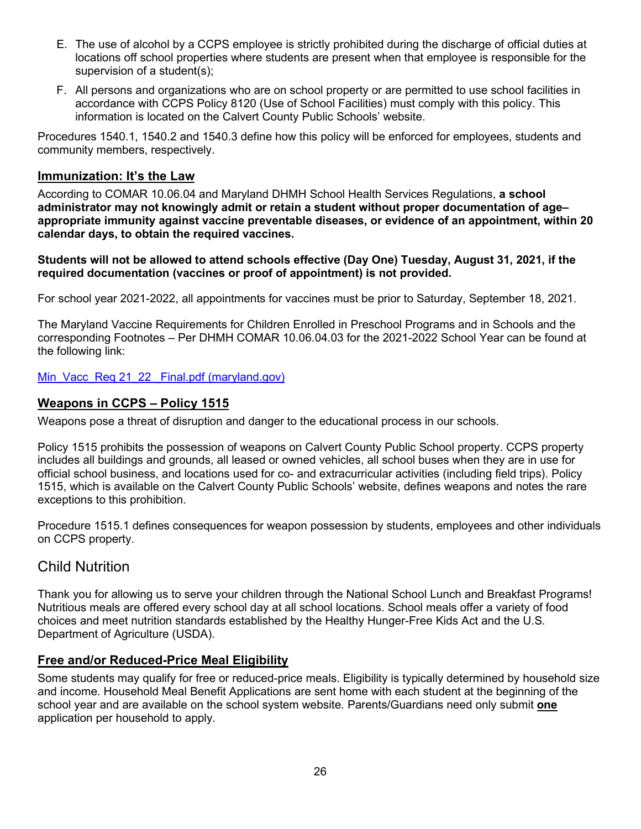- E. The use of alcohol by a CCPS employee is strictly prohibited during the discharge of official duties at locations off school properties where students are present when that employee is responsible for the supervision of a student(s);
- F. All persons and organizations who are on school property or are permitted to use school facilities in accordance with CCPS Policy 8120 (Use of School Facilities) must comply with this policy. This information is located on the Calvert County Public Schools' website.

Procedures 1540.1, 1540.2 and 1540.3 define how this policy will be enforced for employees, students and community members, respectively.

#### <span id="page-25-0"></span>**Immunization: It's the Law**

According to COMAR 10.06.04 and Maryland DHMH School Health Services Regulations, **a school administrator may not knowingly admit or retain a student without proper documentation of age– appropriate immunity against vaccine preventable diseases, or evidence of an appointment, within 20 calendar days, to obtain the required vaccines.**

**Students will not be allowed to attend schools effective (Day One) Tuesday, August 31, 2021, if the required documentation (vaccines or proof of appointment) is not provided.**

For school year 2021-2022, all appointments for vaccines must be prior to Saturday, September 18, 2021.

The Maryland Vaccine Requirements for Children Enrolled in Preschool Programs and in Schools and the corresponding Footnotes – Per DHMH COMAR 10.06.04.03 for the 2021-2022 School Year can be found at the following link:

Min\_Vacc\_Req 21\_22 Final.pdf (maryland.gov)

#### <span id="page-25-1"></span>**Weapons in CCPS – Policy 1515**

Weapons pose a threat of disruption and danger to the educational process in our schools.

Policy 1515 prohibits the possession of weapons on Calvert County Public School property. CCPS property includes all buildings and grounds, all leased or owned vehicles, all school buses when they are in use for official school business, and locations used for co- and extracurricular activities (including field trips). Policy 1515, which is available on the Calvert County Public Schools' website, defines weapons and notes the rare exceptions to this prohibition.

Procedure 1515.1 defines consequences for weapon possession by students, employees and other individuals on CCPS property.

## <span id="page-25-2"></span>Child Nutrition

Thank you for allowing us to serve your children through the National School Lunch and Breakfast Programs! Nutritious meals are offered every school day at all school locations. School meals offer a variety of food choices and meet nutrition standards established by the Healthy Hunger-Free Kids Act and the U.S. Department of Agriculture (USDA).

#### <span id="page-25-3"></span>**Free and/or Reduced-Price Meal Eligibility**

Some students may qualify for free or reduced-price meals. Eligibility is typically determined by household size and income. Household Meal Benefit Applications are sent home with each student at the beginning of the school year and are available on the school system website. Parents/Guardians need only submit **one**  application per household to apply.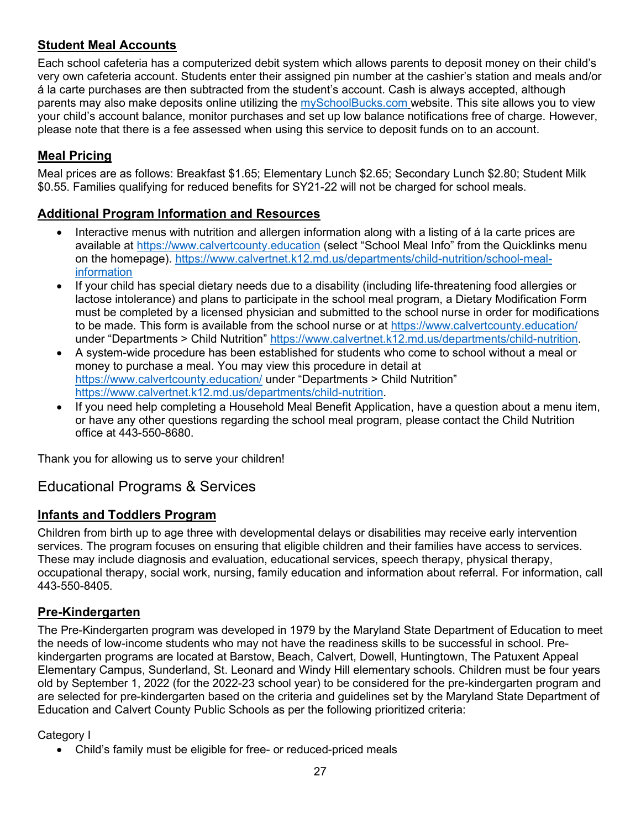### <span id="page-26-0"></span>**Student Meal Accounts**

Each school cafeteria has a computerized debit system which allows parents to deposit money on their child's very own cafeteria account. Students enter their assigned pin number at the cashier's station and meals and/or á la carte purchases are then subtracted from the student's account. Cash is always accepted, although parents may also make deposits online utilizing the [mySchoolBucks.com](https://www.myschoolbucks.com/login/getmain.do?action=home) website. This site allows you to view your child's account balance, monitor purchases and set up low balance notifications free of charge. However, please note that there is a fee assessed when using this service to deposit funds on to an account.

### <span id="page-26-1"></span>**Meal Pricing**

Meal prices are as follows: Breakfast \$1.65; Elementary Lunch \$2.65; Secondary Lunch \$2.80; Student Milk \$0.55. Families qualifying for reduced benefits for SY21-22 will not be charged for school meals.

#### <span id="page-26-2"></span>**Additional Program Information and Resources**

- Interactive menus with nutrition and allergen information along with a listing of a la carte prices are available at [https://www.calvertcounty.education](https://www.calvertcounty.education/) (select "School Meal Info" from the Quicklinks menu on the homepage). [https://www.calvertnet.k12.md.us/departments/child-nutrition/school-meal](https://www.calvertnet.k12.md.us/departments/child-nutrition/school-meal-information)[information](https://www.calvertnet.k12.md.us/departments/child-nutrition/school-meal-information)
- If your child has special dietary needs due to a disability (including life-threatening food allergies or lactose intolerance) and plans to participate in the school meal program, a Dietary Modification Form must be completed by a licensed physician and submitted to the school nurse in order for modifications to be made. This form is available from the school nurse or at <https://www.calvertcounty.education/> under "Departments > Child Nutrition" [https://www.calvertnet.k12.md.us/departments/child-nutrition.](https://www.calvertnet.k12.md.us/departments/child-nutrition)
- A system-wide procedure has been established for students who come to school without a meal or money to purchase a meal. You may view this procedure in detail at <https://www.calvertcounty.education/> under "Departments > Child Nutrition" [https://www.calvertnet.k12.md.us/departments/child-nutrition.](https://www.calvertnet.k12.md.us/departments/child-nutrition)
- If you need help completing a Household Meal Benefit Application, have a question about a menu item, or have any other questions regarding the school meal program, please contact the Child Nutrition office at 443-550-8680.

Thank you for allowing us to serve your children!

### <span id="page-26-3"></span>Educational Programs & Services

#### <span id="page-26-4"></span>**Infants and Toddlers Program**

Children from birth up to age three with developmental delays or disabilities may receive early intervention services. The program focuses on ensuring that eligible children and their families have access to services. These may include diagnosis and evaluation, educational services, speech therapy, physical therapy, occupational therapy, social work, nursing, family education and information about referral. For information, call 443-550-8405.

#### <span id="page-26-5"></span>**Pre-Kindergarten**

The Pre-Kindergarten program was developed in 1979 by the Maryland State Department of Education to meet the needs of low-income students who may not have the readiness skills to be successful in school. Prekindergarten programs are located at Barstow, Beach, Calvert, Dowell, Huntingtown, The Patuxent Appeal Elementary Campus, Sunderland, St. Leonard and Windy Hill elementary schools. Children must be four years old by September 1, 2022 (for the 2022-23 school year) to be considered for the pre-kindergarten program and are selected for pre-kindergarten based on the criteria and guidelines set by the Maryland State Department of Education and Calvert County Public Schools as per the following prioritized criteria:

#### Category I

• Child's family must be eligible for free- or reduced-priced meals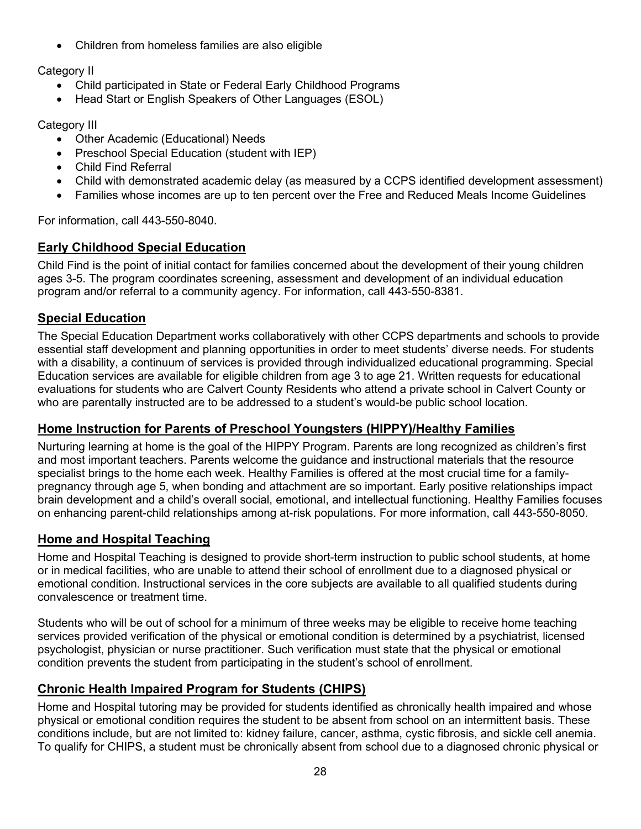• Children from homeless families are also eligible

### Category II

- Child participated in State or Federal Early Childhood Programs
- Head Start or English Speakers of Other Languages (ESOL)

### Category III

- Other Academic (Educational) Needs
- Preschool Special Education (student with IEP)
- Child Find Referral
- Child with demonstrated academic delay (as measured by a CCPS identified development assessment)
- Families whose incomes are up to ten percent over the Free and Reduced Meals Income Guidelines

For information, call 443-550-8040.

### <span id="page-27-0"></span>**Early Childhood Special Education**

Child Find is the point of initial contact for families concerned about the development of their young children ages 3-5. The program coordinates screening, assessment and development of an individual education program and/or referral to a community agency. For information, call 443-550-8381.

### <span id="page-27-1"></span>**Special Education**

The Special Education Department works collaboratively with other CCPS departments and schools to provide essential staff development and planning opportunities in order to meet students' diverse needs. For students with a disability, a continuum of services is provided through individualized educational programming. Special Education services are available for eligible children from age 3 to age 21. Written requests for educational evaluations for students who are Calvert County Residents who attend a private school in Calvert County or who are parentally instructed are to be addressed to a student's would-be public school location.

#### <span id="page-27-2"></span>**Home Instruction for Parents of Preschool Youngsters (HIPPY)/Healthy Families**

Nurturing learning at home is the goal of the HIPPY Program. Parents are long recognized as children's first and most important teachers. Parents welcome the guidance and instructional materials that the resource specialist brings to the home each week. Healthy Families is offered at the most crucial time for a familypregnancy through age 5, when bonding and attachment are so important. Early positive relationships impact brain development and a child's overall social, emotional, and intellectual functioning. Healthy Families focuses on enhancing parent-child relationships among at-risk populations. For more information, call 443-550-8050.

#### <span id="page-27-3"></span>**Home and Hospital Teaching**

Home and Hospital Teaching is designed to provide short-term instruction to public school students, at home or in medical facilities, who are unable to attend their school of enrollment due to a diagnosed physical or emotional condition. Instructional services in the core subjects are available to all qualified students during convalescence or treatment time.

Students who will be out of school for a minimum of three weeks may be eligible to receive home teaching services provided verification of the physical or emotional condition is determined by a psychiatrist, licensed psychologist, physician or nurse practitioner. Such verification must state that the physical or emotional condition prevents the student from participating in the student's school of enrollment.

### <span id="page-27-4"></span>**Chronic Health Impaired Program for Students (CHIPS)**

Home and Hospital tutoring may be provided for students identified as chronically health impaired and whose physical or emotional condition requires the student to be absent from school on an intermittent basis. These conditions include, but are not limited to: kidney failure, cancer, asthma, cystic fibrosis, and sickle cell anemia. To qualify for CHIPS, a student must be chronically absent from school due to a diagnosed chronic physical or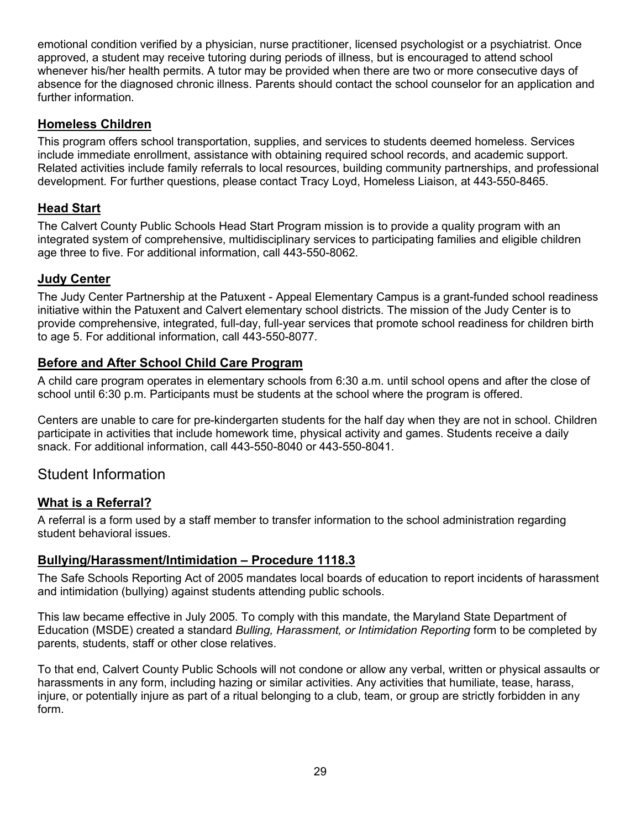emotional condition verified by a physician, nurse practitioner, licensed psychologist or a psychiatrist. Once approved, a student may receive tutoring during periods of illness, but is encouraged to attend school whenever his/her health permits. A tutor may be provided when there are two or more consecutive days of absence for the diagnosed chronic illness. Parents should contact the school counselor for an application and further information.

#### <span id="page-28-0"></span>**Homeless Children**

This program offers school transportation, supplies, and services to students deemed homeless. Services include immediate enrollment, assistance with obtaining required school records, and academic support. Related activities include family referrals to local resources, building community partnerships, and professional development. For further questions, please contact Tracy Loyd, Homeless Liaison, at 443-550-8465.

#### <span id="page-28-1"></span>**Head Start**

The Calvert County Public Schools Head Start Program mission is to provide a quality program with an integrated system of comprehensive, multidisciplinary services to participating families and eligible children age three to five. For additional information, call 443-550-8062.

#### <span id="page-28-2"></span>**Judy Center**

The Judy Center Partnership at the Patuxent - Appeal Elementary Campus is a grant-funded school readiness initiative within the Patuxent and Calvert elementary school districts. The mission of the Judy Center is to provide comprehensive, integrated, full-day, full-year services that promote school readiness for children birth to age 5. For additional information, call 443-550-8077.

#### <span id="page-28-3"></span>**Before and After School Child Care Program**

A child care program operates in elementary schools from 6:30 a.m. until school opens and after the close of school until 6:30 p.m. Participants must be students at the school where the program is offered.

Centers are unable to care for pre-kindergarten students for the half day when they are not in school. Children participate in activities that include homework time, physical activity and games. Students receive a daily snack. For additional information, call 443-550-8040 or 443-550-8041.

### <span id="page-28-4"></span>Student Information

#### <span id="page-28-5"></span>**What is a Referral?**

A referral is a form used by a staff member to transfer information to the school administration regarding student behavioral issues.

#### <span id="page-28-6"></span>**Bullying/Harassment/Intimidation – Procedure 1118.3**

The Safe Schools Reporting Act of 2005 mandates local boards of education to report incidents of harassment and intimidation (bullying) against students attending public schools.

This law became effective in July 2005. To comply with this mandate, the Maryland State Department of Education (MSDE) created a standard *Bulling, Harassment, or Intimidation Reporting* form to be completed by parents, students, staff or other close relatives.

To that end, Calvert County Public Schools will not condone or allow any verbal, written or physical assaults or harassments in any form, including hazing or similar activities. Any activities that humiliate, tease, harass, injure, or potentially injure as part of a ritual belonging to a club, team, or group are strictly forbidden in any form.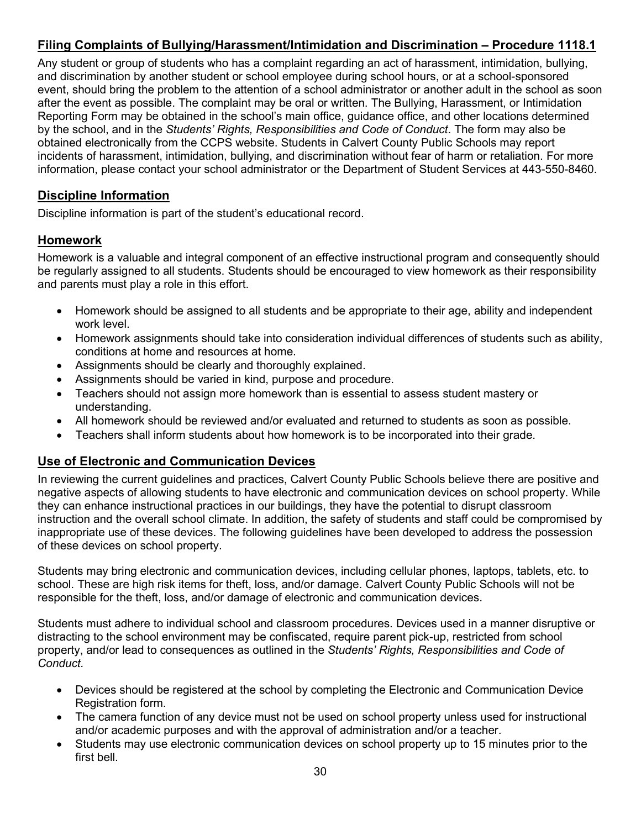## <span id="page-29-0"></span>**Filing Complaints of Bullying/Harassment/Intimidation and Discrimination – Procedure 1118.1**

Any student or group of students who has a complaint regarding an act of harassment, intimidation, bullying, and discrimination by another student or school employee during school hours, or at a school-sponsored event, should bring the problem to the attention of a school administrator or another adult in the school as soon after the event as possible. The complaint may be oral or written. The Bullying, Harassment, or Intimidation Reporting Form may be obtained in the school's main office, guidance office, and other locations determined by the school, and in the *Students' Rights, Responsibilities and Code of Conduct*. The form may also be obtained electronically from the CCPS website. Students in Calvert County Public Schools may report incidents of harassment, intimidation, bullying, and discrimination without fear of harm or retaliation. For more information, please contact your school administrator or the Department of Student Services at 443-550-8460.

#### <span id="page-29-1"></span>**Discipline Information**

Discipline information is part of the student's educational record.

#### <span id="page-29-2"></span>**Homework**

Homework is a valuable and integral component of an effective instructional program and consequently should be regularly assigned to all students. Students should be encouraged to view homework as their responsibility and parents must play a role in this effort.

- Homework should be assigned to all students and be appropriate to their age, ability and independent work level.
- Homework assignments should take into consideration individual differences of students such as ability, conditions at home and resources at home.
- Assignments should be clearly and thoroughly explained.
- Assignments should be varied in kind, purpose and procedure.
- Teachers should not assign more homework than is essential to assess student mastery or understanding.
- All homework should be reviewed and/or evaluated and returned to students as soon as possible.
- Teachers shall inform students about how homework is to be incorporated into their grade.

#### <span id="page-29-3"></span>**Use of Electronic and Communication Devices**

In reviewing the current guidelines and practices, Calvert County Public Schools believe there are positive and negative aspects of allowing students to have electronic and communication devices on school property. While they can enhance instructional practices in our buildings, they have the potential to disrupt classroom instruction and the overall school climate. In addition, the safety of students and staff could be compromised by inappropriate use of these devices. The following guidelines have been developed to address the possession of these devices on school property.

Students may bring electronic and communication devices, including cellular phones, laptops, tablets, etc. to school. These are high risk items for theft, loss, and/or damage. Calvert County Public Schools will not be responsible for the theft, loss, and/or damage of electronic and communication devices.

Students must adhere to individual school and classroom procedures. Devices used in a manner disruptive or distracting to the school environment may be confiscated, require parent pick-up, restricted from school property, and/or lead to consequences as outlined in the *Students' Rights, Responsibilities and Code of Conduct.*

- Devices should be registered at the school by completing the Electronic and Communication Device Registration form.
- The camera function of any device must not be used on school property unless used for instructional and/or academic purposes and with the approval of administration and/or a teacher.
- Students may use electronic communication devices on school property up to 15 minutes prior to the first bell.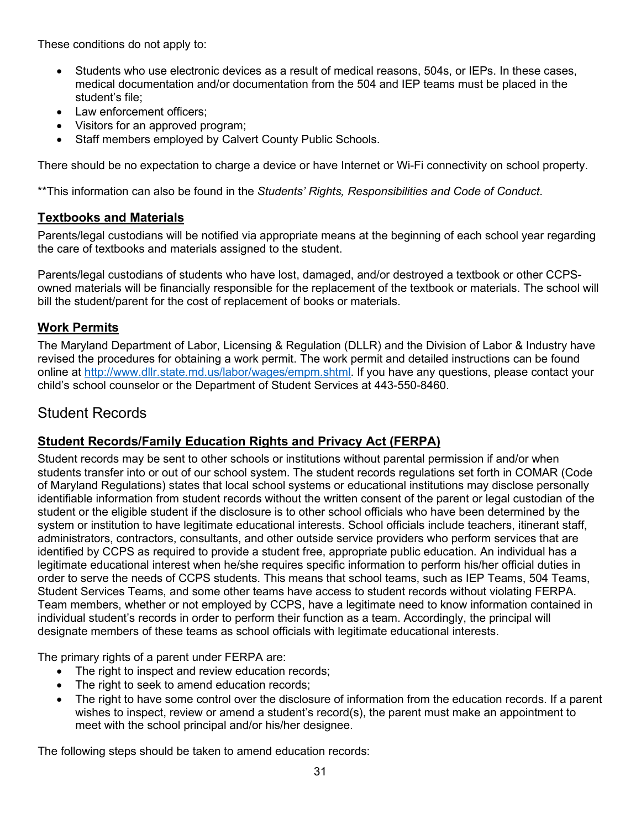These conditions do not apply to:

- Students who use electronic devices as a result of medical reasons, 504s, or IEPs. In these cases, medical documentation and/or documentation from the 504 and IEP teams must be placed in the student's file;
- Law enforcement officers:
- Visitors for an approved program;
- Staff members employed by Calvert County Public Schools.

There should be no expectation to charge a device or have Internet or Wi-Fi connectivity on school property.

\*\*This information can also be found in the *Students' Rights, Responsibilities and Code of Conduct*.

#### <span id="page-30-0"></span>**Textbooks and Materials**

Parents/legal custodians will be notified via appropriate means at the beginning of each school year regarding the care of textbooks and materials assigned to the student.

Parents/legal custodians of students who have lost, damaged, and/or destroyed a textbook or other CCPSowned materials will be financially responsible for the replacement of the textbook or materials. The school will bill the student/parent for the cost of replacement of books or materials.

#### <span id="page-30-1"></span>**Work Permits**

The Maryland Department of Labor, Licensing & Regulation (DLLR) and the Division of Labor & Industry have revised the procedures for obtaining a work permit. The work permit and detailed instructions can be found online at [http://www.dllr.state.md.us/labor/wages/empm.shtml.](http://www.dllr.state.md.us/labor/wages/empm.shtml) If you have any questions, please contact your child's school counselor or the Department of Student Services at 443-550-8460.

### <span id="page-30-2"></span>Student Records

#### <span id="page-30-3"></span>**Student Records/Family Education Rights and Privacy Act (FERPA)**

Student records may be sent to other schools or institutions without parental permission if and/or when students transfer into or out of our school system. The student records regulations set forth in COMAR (Code of Maryland Regulations) states that local school systems or educational institutions may disclose personally identifiable information from student records without the written consent of the parent or legal custodian of the student or the eligible student if the disclosure is to other school officials who have been determined by the system or institution to have legitimate educational interests. School officials include teachers, itinerant staff, administrators, contractors, consultants, and other outside service providers who perform services that are identified by CCPS as required to provide a student free, appropriate public education. An individual has a legitimate educational interest when he/she requires specific information to perform his/her official duties in order to serve the needs of CCPS students. This means that school teams, such as IEP Teams, 504 Teams, Student Services Teams, and some other teams have access to student records without violating FERPA. Team members, whether or not employed by CCPS, have a legitimate need to know information contained in individual student's records in order to perform their function as a team. Accordingly, the principal will designate members of these teams as school officials with legitimate educational interests.

The primary rights of a parent under FERPA are:

- The right to inspect and review education records;
- The right to seek to amend education records;
- The right to have some control over the disclosure of information from the education records. If a parent wishes to inspect, review or amend a student's record(s), the parent must make an appointment to meet with the school principal and/or his/her designee.

The following steps should be taken to amend education records: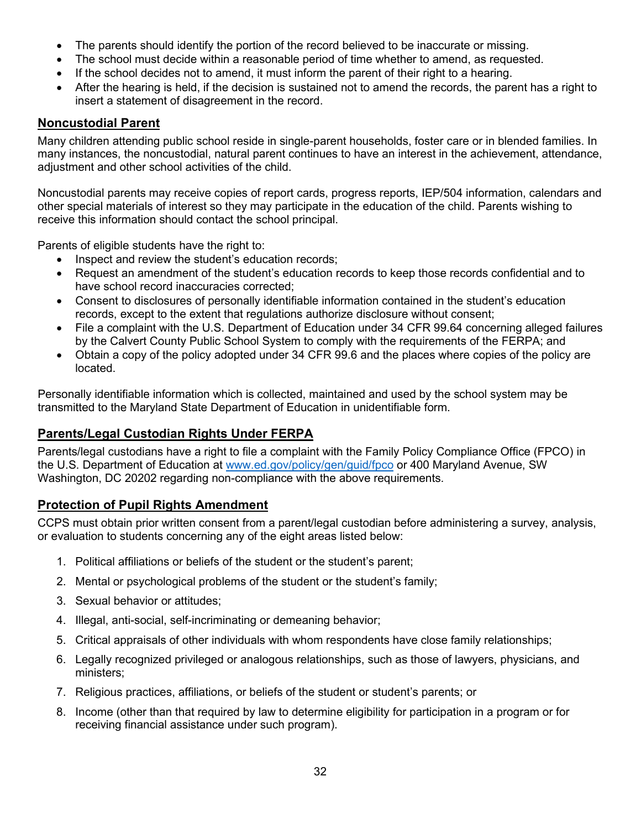- The parents should identify the portion of the record believed to be inaccurate or missing.
- The school must decide within a reasonable period of time whether to amend, as requested.
- If the school decides not to amend, it must inform the parent of their right to a hearing.
- After the hearing is held, if the decision is sustained not to amend the records, the parent has a right to insert a statement of disagreement in the record.

#### <span id="page-31-0"></span>**Noncustodial Parent**

Many children attending public school reside in single-parent households, foster care or in blended families. In many instances, the noncustodial, natural parent continues to have an interest in the achievement, attendance, adjustment and other school activities of the child.

Noncustodial parents may receive copies of report cards, progress reports, IEP/504 information, calendars and other special materials of interest so they may participate in the education of the child. Parents wishing to receive this information should contact the school principal.

Parents of eligible students have the right to:

- Inspect and review the student's education records;
- Request an amendment of the student's education records to keep those records confidential and to have school record inaccuracies corrected;
- Consent to disclosures of personally identifiable information contained in the student's education records, except to the extent that regulations authorize disclosure without consent;
- File a complaint with the U.S. Department of Education under 34 CFR 99.64 concerning alleged failures by the Calvert County Public School System to comply with the requirements of the FERPA; and
- Obtain a copy of the policy adopted under 34 CFR 99.6 and the places where copies of the policy are located.

Personally identifiable information which is collected, maintained and used by the school system may be transmitted to the Maryland State Department of Education in unidentifiable form.

#### <span id="page-31-1"></span>**Parents/Legal Custodian Rights Under FERPA**

Parents/legal custodians have a right to file a complaint with the Family Policy Compliance Office (FPCO) in the U.S. Department of Education at [www.ed.gov/policy/gen/guid/fpco](http://www.ed.gov/policy/gen/guid/fpco) or 400 Maryland Avenue, SW Washington, DC 20202 regarding non-compliance with the above requirements.

#### <span id="page-31-2"></span>**Protection of Pupil Rights Amendment**

CCPS must obtain prior written consent from a parent/legal custodian before administering a survey, analysis, or evaluation to students concerning any of the eight areas listed below:

- 1. Political affiliations or beliefs of the student or the student's parent;
- 2. Mental or psychological problems of the student or the student's family;
- 3. Sexual behavior or attitudes;
- 4. Illegal, anti-social, self-incriminating or demeaning behavior;
- 5. Critical appraisals of other individuals with whom respondents have close family relationships;
- 6. Legally recognized privileged or analogous relationships, such as those of lawyers, physicians, and ministers;
- 7. Religious practices, affiliations, or beliefs of the student or student's parents; or
- 8. Income (other than that required by law to determine eligibility for participation in a program or for receiving financial assistance under such program).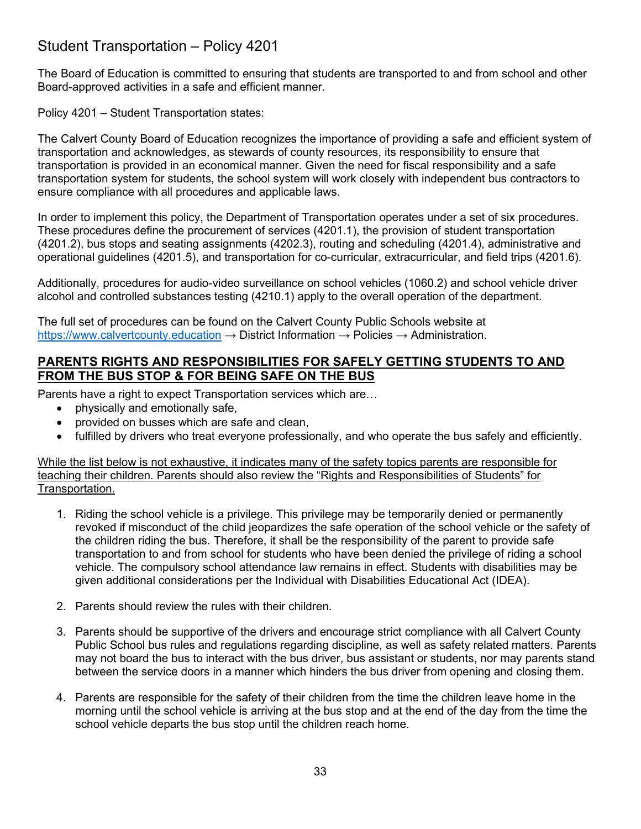## <span id="page-32-0"></span>Student Transportation – Policy 4201

The Board of Education is committed to ensuring that students are transported to and from school and other Board-approved activities in a safe and efficient manner.

Policy 4201 – Student Transportation states:

The Calvert County Board of Education recognizes the importance of providing a safe and efficient system of transportation and acknowledges, as stewards of county resources, its responsibility to ensure that transportation is provided in an economical manner. Given the need for fiscal responsibility and a safe transportation system for students, the school system will work closely with independent bus contractors to ensure compliance with all procedures and applicable laws.

In order to implement this policy, the Department of Transportation operates under a set of six procedures. These procedures define the procurement of services (4201.1), the provision of student transportation (4201.2), bus stops and seating assignments (4202.3), routing and scheduling (4201.4), administrative and operational guidelines (4201.5), and transportation for co-curricular, extracurricular, and field trips (4201.6).

Additionally, procedures for audio-video surveillance on school vehicles (1060.2) and school vehicle driver alcohol and controlled substances testing (4210.1) apply to the overall operation of the department.

The full set of procedures can be found on the Calvert County Public Schools website at [https://www.calvertcounty.education](https://www.calvertcounty.education/)  $\rightarrow$  District Information  $\rightarrow$  Policies  $\rightarrow$  Administration.

#### <span id="page-32-1"></span>**PARENTS RIGHTS AND RESPONSIBILITIES FOR SAFELY GETTING STUDENTS TO AND FROM THE BUS STOP & FOR BEING SAFE ON THE BUS**

Parents have a right to expect Transportation services which are…

- physically and emotionally safe,
- provided on busses which are safe and clean.
- fulfilled by drivers who treat everyone professionally, and who operate the bus safely and efficiently.

While the list below is not exhaustive, it indicates many of the safety topics parents are responsible for teaching their children. Parents should also review the "Rights and Responsibilities of Students" for Transportation.

- 1. Riding the school vehicle is a privilege. This privilege may be temporarily denied or permanently revoked if misconduct of the child jeopardizes the safe operation of the school vehicle or the safety of the children riding the bus. Therefore, it shall be the responsibility of the parent to provide safe transportation to and from school for students who have been denied the privilege of riding a school vehicle. The compulsory school attendance law remains in effect. Students with disabilities may be given additional considerations per the Individual with Disabilities Educational Act (IDEA).
- 2. Parents should review the rules with their children.
- 3. Parents should be supportive of the drivers and encourage strict compliance with all Calvert County Public School bus rules and regulations regarding discipline, as well as safety related matters. Parents may not board the bus to interact with the bus driver, bus assistant or students, nor may parents stand between the service doors in a manner which hinders the bus driver from opening and closing them.
- 4. Parents are responsible for the safety of their children from the time the children leave home in the morning until the school vehicle is arriving at the bus stop and at the end of the day from the time the school vehicle departs the bus stop until the children reach home.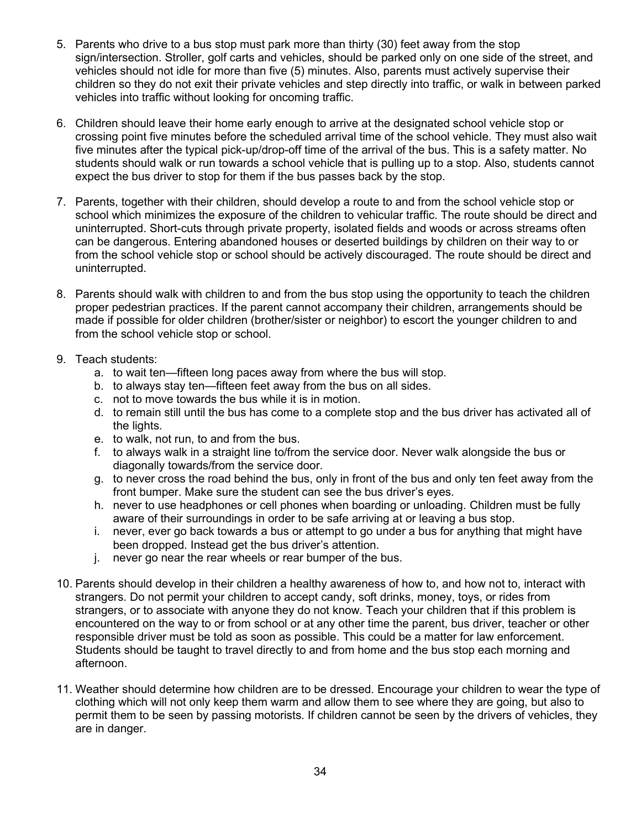- 5. Parents who drive to a bus stop must park more than thirty (30) feet away from the stop sign/intersection. Stroller, golf carts and vehicles, should be parked only on one side of the street, and vehicles should not idle for more than five (5) minutes. Also, parents must actively supervise their children so they do not exit their private vehicles and step directly into traffic, or walk in between parked vehicles into traffic without looking for oncoming traffic.
- 6. Children should leave their home early enough to arrive at the designated school vehicle stop or crossing point five minutes before the scheduled arrival time of the school vehicle. They must also wait five minutes after the typical pick-up/drop-off time of the arrival of the bus. This is a safety matter. No students should walk or run towards a school vehicle that is pulling up to a stop. Also, students cannot expect the bus driver to stop for them if the bus passes back by the stop.
- 7. Parents, together with their children, should develop a route to and from the school vehicle stop or school which minimizes the exposure of the children to vehicular traffic. The route should be direct and uninterrupted. Short-cuts through private property, isolated fields and woods or across streams often can be dangerous. Entering abandoned houses or deserted buildings by children on their way to or from the school vehicle stop or school should be actively discouraged. The route should be direct and uninterrupted.
- 8. Parents should walk with children to and from the bus stop using the opportunity to teach the children proper pedestrian practices. If the parent cannot accompany their children, arrangements should be made if possible for older children (brother/sister or neighbor) to escort the younger children to and from the school vehicle stop or school.
- 9. Teach students:
	- a. to wait ten—fifteen long paces away from where the bus will stop.
	- b. to always stay ten—fifteen feet away from the bus on all sides.
	- c. not to move towards the bus while it is in motion.
	- d. to remain still until the bus has come to a complete stop and the bus driver has activated all of the lights.
	- e. to walk, not run, to and from the bus.
	- f. to always walk in a straight line to/from the service door. Never walk alongside the bus or diagonally towards/from the service door.
	- g. to never cross the road behind the bus, only in front of the bus and only ten feet away from the front bumper. Make sure the student can see the bus driver's eyes.
	- h. never to use headphones or cell phones when boarding or unloading. Children must be fully aware of their surroundings in order to be safe arriving at or leaving a bus stop.
	- i. never, ever go back towards a bus or attempt to go under a bus for anything that might have been dropped. Instead get the bus driver's attention.
	- j. never go near the rear wheels or rear bumper of the bus.
- 10. Parents should develop in their children a healthy awareness of how to, and how not to, interact with strangers. Do not permit your children to accept candy, soft drinks, money, toys, or rides from strangers, or to associate with anyone they do not know. Teach your children that if this problem is encountered on the way to or from school or at any other time the parent, bus driver, teacher or other responsible driver must be told as soon as possible. This could be a matter for law enforcement. Students should be taught to travel directly to and from home and the bus stop each morning and afternoon.
- 11. Weather should determine how children are to be dressed. Encourage your children to wear the type of clothing which will not only keep them warm and allow them to see where they are going, but also to permit them to be seen by passing motorists. If children cannot be seen by the drivers of vehicles, they are in danger.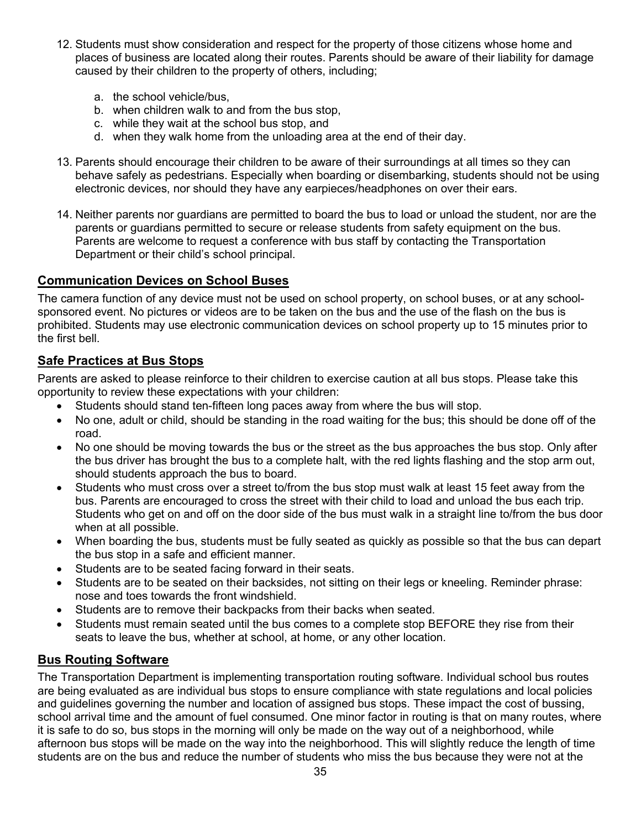- 12. Students must show consideration and respect for the property of those citizens whose home and places of business are located along their routes. Parents should be aware of their liability for damage caused by their children to the property of others, including;
	- a. the school vehicle/bus,
	- b. when children walk to and from the bus stop,
	- c. while they wait at the school bus stop, and
	- d. when they walk home from the unloading area at the end of their day.
- 13. Parents should encourage their children to be aware of their surroundings at all times so they can behave safely as pedestrians. Especially when boarding or disembarking, students should not be using electronic devices, nor should they have any earpieces/headphones on over their ears.
- 14. Neither parents nor guardians are permitted to board the bus to load or unload the student, nor are the parents or guardians permitted to secure or release students from safety equipment on the bus. Parents are welcome to request a conference with bus staff by contacting the Transportation Department or their child's school principal.

#### <span id="page-34-0"></span>**Communication Devices on School Buses**

The camera function of any device must not be used on school property, on school buses, or at any schoolsponsored event. No pictures or videos are to be taken on the bus and the use of the flash on the bus is prohibited. Students may use electronic communication devices on school property up to 15 minutes prior to the first bell.

#### <span id="page-34-1"></span>**Safe Practices at Bus Stops**

Parents are asked to please reinforce to their children to exercise caution at all bus stops. Please take this opportunity to review these expectations with your children:

- Students should stand ten-fifteen long paces away from where the bus will stop.
- No one, adult or child, should be standing in the road waiting for the bus; this should be done off of the road.
- No one should be moving towards the bus or the street as the bus approaches the bus stop. Only after the bus driver has brought the bus to a complete halt, with the red lights flashing and the stop arm out, should students approach the bus to board.
- Students who must cross over a street to/from the bus stop must walk at least 15 feet away from the bus. Parents are encouraged to cross the street with their child to load and unload the bus each trip. Students who get on and off on the door side of the bus must walk in a straight line to/from the bus door when at all possible.
- When boarding the bus, students must be fully seated as quickly as possible so that the bus can depart the bus stop in a safe and efficient manner.
- Students are to be seated facing forward in their seats.
- Students are to be seated on their backsides, not sitting on their legs or kneeling. Reminder phrase: nose and toes towards the front windshield.
- Students are to remove their backpacks from their backs when seated.
- Students must remain seated until the bus comes to a complete stop BEFORE they rise from their seats to leave the bus, whether at school, at home, or any other location.

#### <span id="page-34-2"></span>**Bus Routing Software**

The Transportation Department is implementing transportation routing software. Individual school bus routes are being evaluated as are individual bus stops to ensure compliance with state regulations and local policies and guidelines governing the number and location of assigned bus stops. These impact the cost of bussing, school arrival time and the amount of fuel consumed. One minor factor in routing is that on many routes, where it is safe to do so, bus stops in the morning will only be made on the way out of a neighborhood, while afternoon bus stops will be made on the way into the neighborhood. This will slightly reduce the length of time students are on the bus and reduce the number of students who miss the bus because they were not at the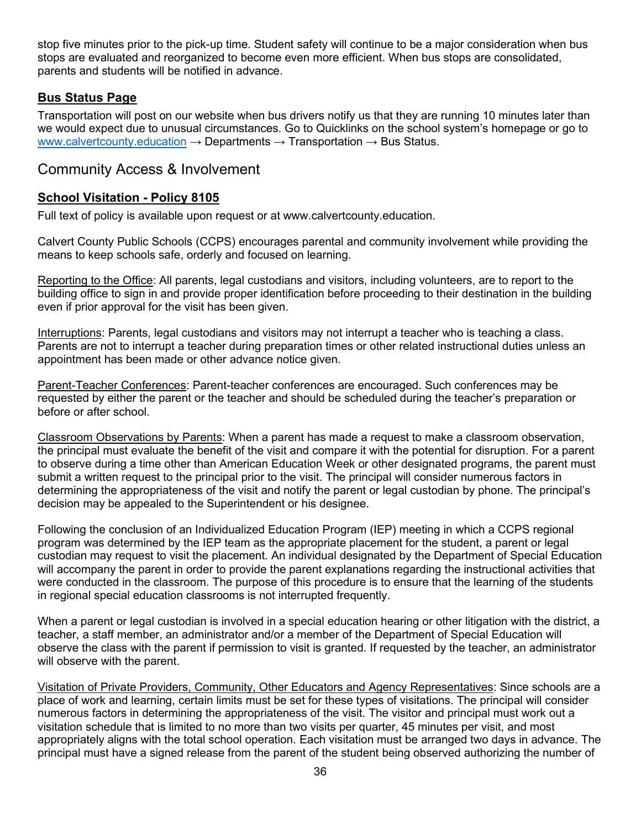stop five minutes prior to the pick-up time. Student safety will continue to be a major consideration when bus stops are evaluated and reorganized to become even more efficient. When bus stops are consolidated, parents and students will be notified in advance.

#### <span id="page-35-0"></span>**Bus Status Page**

Transportation will post on our website when bus drivers notify us that they are running 10 minutes later than we would expect due to unusual circumstances. Go to Quicklinks on the school system's homepage or go to [www.calvertcounty.education](https://www.calvertcounty.education/)  $\rightarrow$  Departments  $\rightarrow$  Transportation  $\rightarrow$  Bus Status.

### <span id="page-35-1"></span>Community Access & Involvement

#### <span id="page-35-2"></span>**School Visitation - Policy 8105**

Full text of policy is available upon request or at www.calvertcounty.education.

Calvert County Public Schools (CCPS) encourages parental and community involvement while providing the means to keep schools safe, orderly and focused on learning.

Reporting to the Office: All parents, legal custodians and visitors, including volunteers, are to report to the building office to sign in and provide proper identification before proceeding to their destination in the building even if prior approval for the visit has been given.

Interruptions: Parents, legal custodians and visitors may not interrupt a teacher who is teaching a class. Parents are not to interrupt a teacher during preparation times or other related instructional duties unless an appointment has been made or other advance notice given.

Parent-Teacher Conferences: Parent-teacher conferences are encouraged. Such conferences may be requested by either the parent or the teacher and should be scheduled during the teacher's preparation or before or after school.

Classroom Observations by Parents: When a parent has made a request to make a classroom observation, the principal must evaluate the benefit of the visit and compare it with the potential for disruption. For a parent to observe during a time other than American Education Week or other designated programs, the parent must submit a written request to the principal prior to the visit. The principal will consider numerous factors in determining the appropriateness of the visit and notify the parent or legal custodian by phone. The principal's decision may be appealed to the Superintendent or his designee.

Following the conclusion of an Individualized Education Program (IEP) meeting in which a CCPS regional program was determined by the IEP team as the appropriate placement for the student, a parent or legal custodian may request to visit the placement. An individual designated by the Department of Special Education will accompany the parent in order to provide the parent explanations regarding the instructional activities that were conducted in the classroom. The purpose of this procedure is to ensure that the learning of the students in regional special education classrooms is not interrupted frequently.

When a parent or legal custodian is involved in a special education hearing or other litigation with the district, a teacher, a staff member, an administrator and/or a member of the Department of Special Education will observe the class with the parent if permission to visit is granted. If requested by the teacher, an administrator will observe with the parent.

Visitation of Private Providers, Community, Other Educators and Agency Representatives: Since schools are a place of work and learning, certain limits must be set for these types of visitations. The principal will consider numerous factors in determining the appropriateness of the visit. The visitor and principal must work out a visitation schedule that is limited to no more than two visits per quarter, 45 minutes per visit, and most appropriately aligns with the total school operation. Each visitation must be arranged two days in advance. The principal must have a signed release from the parent of the student being observed authorizing the number of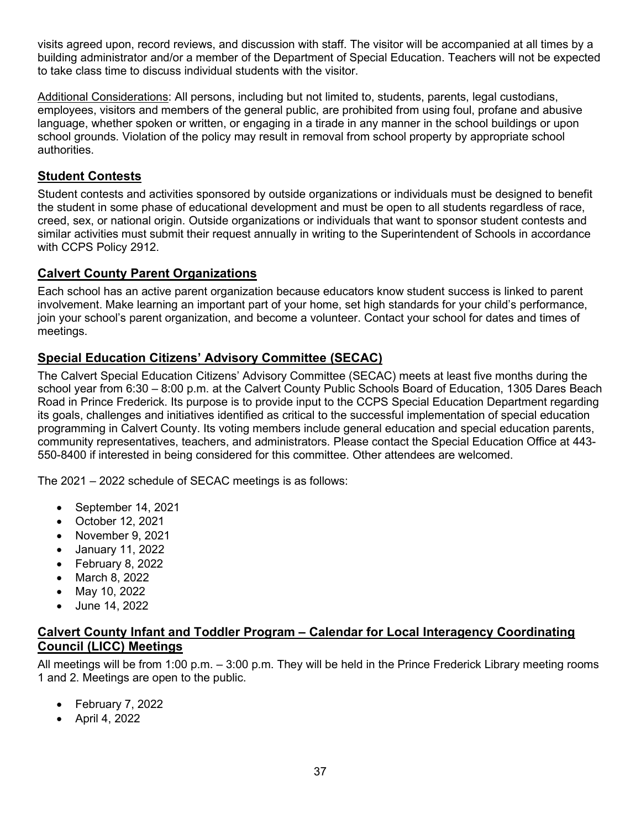visits agreed upon, record reviews, and discussion with staff. The visitor will be accompanied at all times by a building administrator and/or a member of the Department of Special Education. Teachers will not be expected to take class time to discuss individual students with the visitor.

Additional Considerations: All persons, including but not limited to, students, parents, legal custodians, employees, visitors and members of the general public, are prohibited from using foul, profane and abusive language, whether spoken or written, or engaging in a tirade in any manner in the school buildings or upon school grounds. Violation of the policy may result in removal from school property by appropriate school authorities.

#### <span id="page-36-0"></span>**Student Contests**

Student contests and activities sponsored by outside organizations or individuals must be designed to benefit the student in some phase of educational development and must be open to all students regardless of race, creed, sex, or national origin. Outside organizations or individuals that want to sponsor student contests and similar activities must submit their request annually in writing to the Superintendent of Schools in accordance with CCPS Policy 2912.

#### <span id="page-36-1"></span>**Calvert County Parent Organizations**

Each school has an active parent organization because educators know student success is linked to parent involvement. Make learning an important part of your home, set high standards for your child's performance, join your school's parent organization, and become a volunteer. Contact your school for dates and times of meetings.

#### <span id="page-36-2"></span>**Special Education Citizens' Advisory Committee (SECAC)**

The Calvert Special Education Citizens' Advisory Committee (SECAC) meets at least five months during the school year from 6:30 – 8:00 p.m. at the Calvert County Public Schools Board of Education, 1305 Dares Beach Road in Prince Frederick. Its purpose is to provide input to the CCPS Special Education Department regarding its goals, challenges and initiatives identified as critical to the successful implementation of special education programming in Calvert County. Its voting members include general education and special education parents, community representatives, teachers, and administrators. Please contact the Special Education Office at 443- 550-8400 if interested in being considered for this committee. Other attendees are welcomed.

The 2021 – 2022 schedule of SECAC meetings is as follows:

- September 14, 2021
- October 12, 2021
- November 9, 2021
- January 11, 2022
- February 8, 2022
- March 8, 2022
- May 10, 2022
- June 14, 2022

#### <span id="page-36-3"></span>**Calvert County Infant and Toddler Program – Calendar for Local Interagency Coordinating Council (LICC) Meetings**

All meetings will be from 1:00 p.m. – 3:00 p.m. They will be held in the Prince Frederick Library meeting rooms 1 and 2. Meetings are open to the public.

- February 7, 2022
- April 4, 2022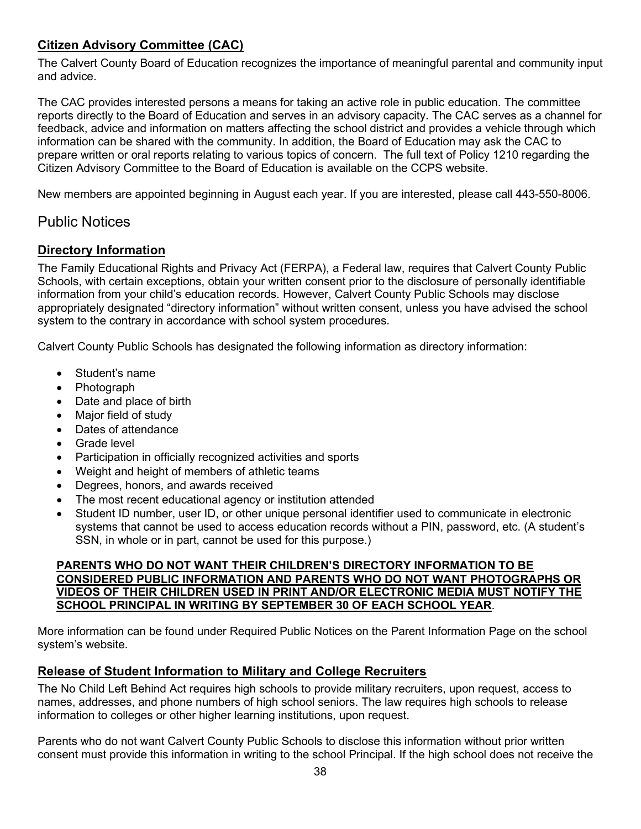## <span id="page-37-0"></span>**Citizen Advisory Committee (CAC)**

The Calvert County Board of Education recognizes the importance of meaningful parental and community input and advice.

The CAC provides interested persons a means for taking an active role in public education. The committee reports directly to the Board of Education and serves in an advisory capacity. The CAC serves as a channel for feedback, advice and information on matters affecting the school district and provides a vehicle through which information can be shared with the community. In addition, the Board of Education may ask the CAC to prepare written or oral reports relating to various topics of concern. The full text of Policy 1210 regarding the Citizen Advisory Committee to the Board of Education is available on the CCPS website.

New members are appointed beginning in August each year. If you are interested, please call 443-550-8006.

### <span id="page-37-1"></span>Public Notices

#### <span id="page-37-2"></span>**Directory Information**

The Family Educational Rights and Privacy Act (FERPA), a Federal law, requires that Calvert County Public Schools, with certain exceptions, obtain your written consent prior to the disclosure of personally identifiable information from your child's education records. However, Calvert County Public Schools may disclose appropriately designated "directory information" without written consent, unless you have advised the school system to the contrary in accordance with school system procedures.

Calvert County Public Schools has designated the following information as directory information:

- Student's name
- Photograph
- Date and place of birth
- Major field of study
- Dates of attendance
- Grade level
- Participation in officially recognized activities and sports
- Weight and height of members of athletic teams
- Degrees, honors, and awards received
- The most recent educational agency or institution attended
- Student ID number, user ID, or other unique personal identifier used to communicate in electronic systems that cannot be used to access education records without a PIN, password, etc. (A student's SSN, in whole or in part, cannot be used for this purpose.)

#### **PARENTS WHO DO NOT WANT THEIR CHILDREN'S DIRECTORY INFORMATION TO BE CONSIDERED PUBLIC INFORMATION AND PARENTS WHO DO NOT WANT PHOTOGRAPHS OR VIDEOS OF THEIR CHILDREN USED IN PRINT AND/OR ELECTRONIC MEDIA MUST NOTIFY THE SCHOOL PRINCIPAL IN WRITING BY SEPTEMBER 30 OF EACH SCHOOL YEAR**.

More information can be found under Required Public Notices on the Parent Information Page on the school system's website.

#### <span id="page-37-3"></span>**Release of Student Information to Military and College Recruiters**

The No Child Left Behind Act requires high schools to provide military recruiters, upon request, access to names, addresses, and phone numbers of high school seniors. The law requires high schools to release information to colleges or other higher learning institutions, upon request.

Parents who do not want Calvert County Public Schools to disclose this information without prior written consent must provide this information in writing to the school Principal. If the high school does not receive the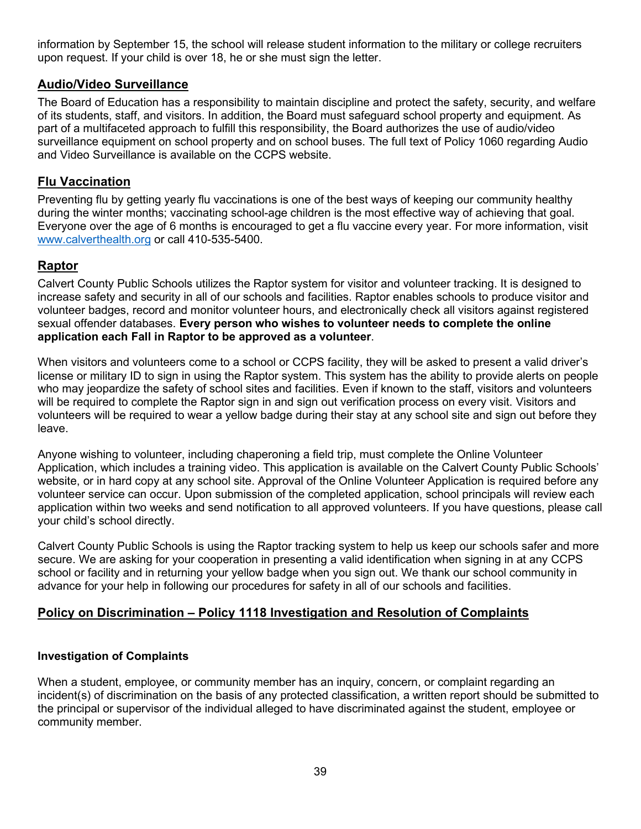information by September 15, the school will release student information to the military or college recruiters upon request. If your child is over 18, he or she must sign the letter.

#### <span id="page-38-0"></span>**Audio/Video Surveillance**

The Board of Education has a responsibility to maintain discipline and protect the safety, security, and welfare of its students, staff, and visitors. In addition, the Board must safeguard school property and equipment. As part of a multifaceted approach to fulfill this responsibility, the Board authorizes the use of audio/video surveillance equipment on school property and on school buses. The full text of Policy 1060 regarding Audio and Video Surveillance is available on the CCPS website.

#### <span id="page-38-1"></span>**Flu Vaccination**

Preventing flu by getting yearly flu vaccinations is one of the best ways of keeping our community healthy during the winter months; vaccinating school-age children is the most effective way of achieving that goal. Everyone over the age of 6 months is encouraged to get a flu vaccine every year. For more information, visit [www.calverthealth.org](http://www.calverthealth.org/) or call 410-535-5400.

#### <span id="page-38-2"></span>**Raptor**

Calvert County Public Schools utilizes the Raptor system for visitor and volunteer tracking. It is designed to increase safety and security in all of our schools and facilities. Raptor enables schools to produce visitor and volunteer badges, record and monitor volunteer hours, and electronically check all visitors against registered sexual offender databases. **Every person who wishes to volunteer needs to complete the online application each Fall in Raptor to be approved as a volunteer**.

When visitors and volunteers come to a school or CCPS facility, they will be asked to present a valid driver's license or military ID to sign in using the Raptor system. This system has the ability to provide alerts on people who may jeopardize the safety of school sites and facilities. Even if known to the staff, visitors and volunteers will be required to complete the Raptor sign in and sign out verification process on every visit. Visitors and volunteers will be required to wear a yellow badge during their stay at any school site and sign out before they leave.

Anyone wishing to volunteer, including chaperoning a field trip, must complete the Online Volunteer Application, which includes a training video. This application is available on the Calvert County Public Schools' website, or in hard copy at any school site. Approval of the Online Volunteer Application is required before any volunteer service can occur. Upon submission of the completed application, school principals will review each application within two weeks and send notification to all approved volunteers. If you have questions, please call your child's school directly.

Calvert County Public Schools is using the Raptor tracking system to help us keep our schools safer and more secure. We are asking for your cooperation in presenting a valid identification when signing in at any CCPS school or facility and in returning your yellow badge when you sign out. We thank our school community in advance for your help in following our procedures for safety in all of our schools and facilities.

#### <span id="page-38-3"></span>**Policy on Discrimination – Policy 1118 Investigation and Resolution of Complaints**

#### **Investigation of Complaints**

When a student, employee, or community member has an inquiry, concern, or complaint regarding an incident(s) of discrimination on the basis of any protected classification, a written report should be submitted to the principal or supervisor of the individual alleged to have discriminated against the student, employee or community member.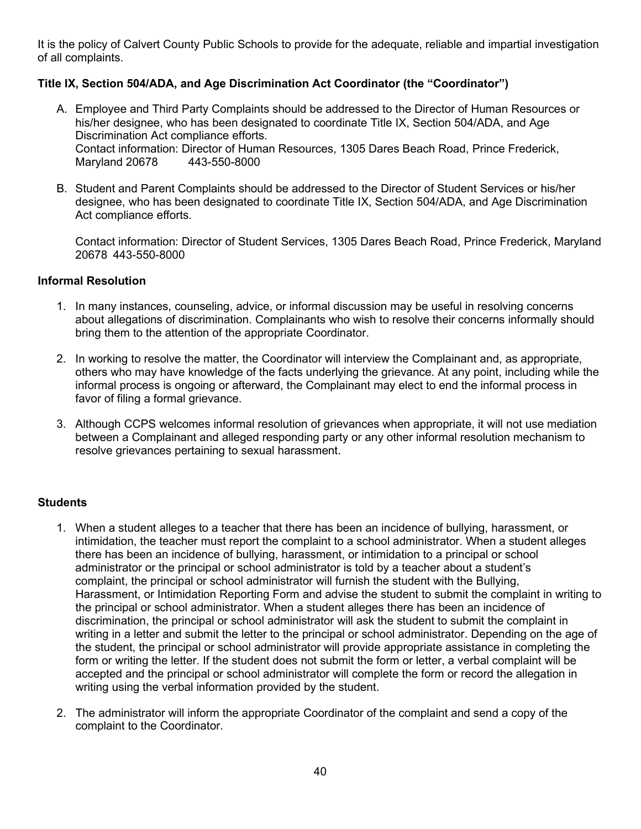It is the policy of Calvert County Public Schools to provide for the adequate, reliable and impartial investigation of all complaints.

#### **Title IX, Section 504/ADA, and Age Discrimination Act Coordinator (the "Coordinator")**

- A. Employee and Third Party Complaints should be addressed to the Director of Human Resources or his/her designee, who has been designated to coordinate Title IX, Section 504/ADA, and Age Discrimination Act compliance efforts. Contact information: Director of Human Resources, 1305 Dares Beach Road, Prince Frederick, Maryland 20678 443-550-8000
- B. Student and Parent Complaints should be addressed to the Director of Student Services or his/her designee, who has been designated to coordinate Title IX, Section 504/ADA, and Age Discrimination Act compliance efforts.

Contact information: Director of Student Services, 1305 Dares Beach Road, Prince Frederick, Maryland 20678 443-550-8000

#### **Informal Resolution**

- 1. In many instances, counseling, advice, or informal discussion may be useful in resolving concerns about allegations of discrimination. Complainants who wish to resolve their concerns informally should bring them to the attention of the appropriate Coordinator.
- 2. In working to resolve the matter, the Coordinator will interview the Complainant and, as appropriate, others who may have knowledge of the facts underlying the grievance. At any point, including while the informal process is ongoing or afterward, the Complainant may elect to end the informal process in favor of filing a formal grievance.
- 3. Although CCPS welcomes informal resolution of grievances when appropriate, it will not use mediation between a Complainant and alleged responding party or any other informal resolution mechanism to resolve grievances pertaining to sexual harassment.

#### **Students**

- 1. When a student alleges to a teacher that there has been an incidence of bullying, harassment, or intimidation, the teacher must report the complaint to a school administrator. When a student alleges there has been an incidence of bullying, harassment, or intimidation to a principal or school administrator or the principal or school administrator is told by a teacher about a student's complaint, the principal or school administrator will furnish the student with the Bullying, Harassment, or Intimidation Reporting Form and advise the student to submit the complaint in writing to the principal or school administrator. When a student alleges there has been an incidence of discrimination, the principal or school administrator will ask the student to submit the complaint in writing in a letter and submit the letter to the principal or school administrator. Depending on the age of the student, the principal or school administrator will provide appropriate assistance in completing the form or writing the letter. If the student does not submit the form or letter, a verbal complaint will be accepted and the principal or school administrator will complete the form or record the allegation in writing using the verbal information provided by the student.
- 2. The administrator will inform the appropriate Coordinator of the complaint and send a copy of the complaint to the Coordinator.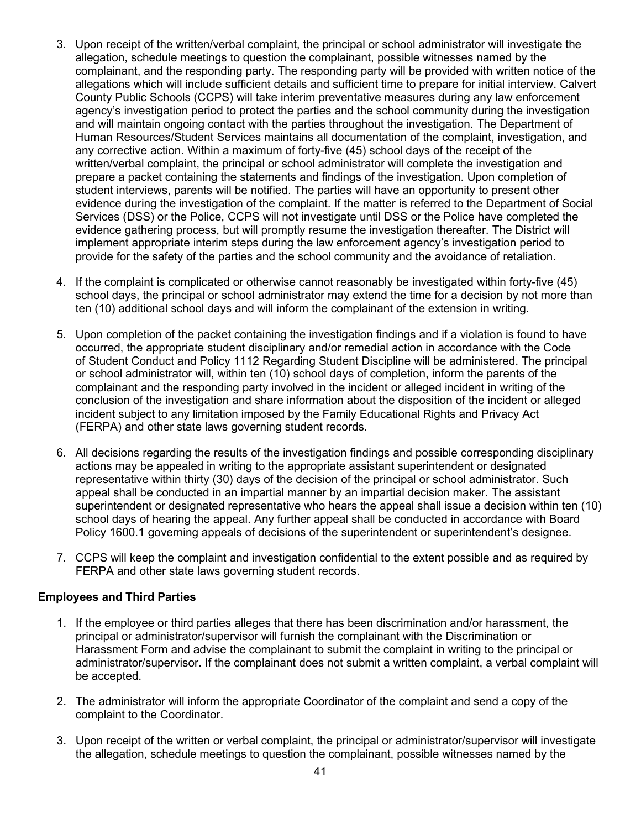- 3. Upon receipt of the written/verbal complaint, the principal or school administrator will investigate the allegation, schedule meetings to question the complainant, possible witnesses named by the complainant, and the responding party. The responding party will be provided with written notice of the allegations which will include sufficient details and sufficient time to prepare for initial interview. Calvert County Public Schools (CCPS) will take interim preventative measures during any law enforcement agency's investigation period to protect the parties and the school community during the investigation and will maintain ongoing contact with the parties throughout the investigation. The Department of Human Resources/Student Services maintains all documentation of the complaint, investigation, and any corrective action. Within a maximum of forty-five (45) school days of the receipt of the written/verbal complaint, the principal or school administrator will complete the investigation and prepare a packet containing the statements and findings of the investigation. Upon completion of student interviews, parents will be notified. The parties will have an opportunity to present other evidence during the investigation of the complaint. If the matter is referred to the Department of Social Services (DSS) or the Police, CCPS will not investigate until DSS or the Police have completed the evidence gathering process, but will promptly resume the investigation thereafter. The District will implement appropriate interim steps during the law enforcement agency's investigation period to provide for the safety of the parties and the school community and the avoidance of retaliation.
- 4. If the complaint is complicated or otherwise cannot reasonably be investigated within forty-five (45) school days, the principal or school administrator may extend the time for a decision by not more than ten (10) additional school days and will inform the complainant of the extension in writing.
- 5. Upon completion of the packet containing the investigation findings and if a violation is found to have occurred, the appropriate student disciplinary and/or remedial action in accordance with the Code of Student Conduct and Policy 1112 Regarding Student Discipline will be administered. The principal or school administrator will, within ten (10) school days of completion, inform the parents of the complainant and the responding party involved in the incident or alleged incident in writing of the conclusion of the investigation and share information about the disposition of the incident or alleged incident subject to any limitation imposed by the Family Educational Rights and Privacy Act (FERPA) and other state laws governing student records.
- 6. All decisions regarding the results of the investigation findings and possible corresponding disciplinary actions may be appealed in writing to the appropriate assistant superintendent or designated representative within thirty (30) days of the decision of the principal or school administrator. Such appeal shall be conducted in an impartial manner by an impartial decision maker. The assistant superintendent or designated representative who hears the appeal shall issue a decision within ten (10) school days of hearing the appeal. Any further appeal shall be conducted in accordance with Board Policy 1600.1 governing appeals of decisions of the superintendent or superintendent's designee.
- 7. CCPS will keep the complaint and investigation confidential to the extent possible and as required by FERPA and other state laws governing student records.

#### **Employees and Third Parties**

- 1. If the employee or third parties alleges that there has been discrimination and/or harassment, the principal or administrator/supervisor will furnish the complainant with the Discrimination or Harassment Form and advise the complainant to submit the complaint in writing to the principal or administrator/supervisor. If the complainant does not submit a written complaint, a verbal complaint will be accepted.
- 2. The administrator will inform the appropriate Coordinator of the complaint and send a copy of the complaint to the Coordinator.
- 3. Upon receipt of the written or verbal complaint, the principal or administrator/supervisor will investigate the allegation, schedule meetings to question the complainant, possible witnesses named by the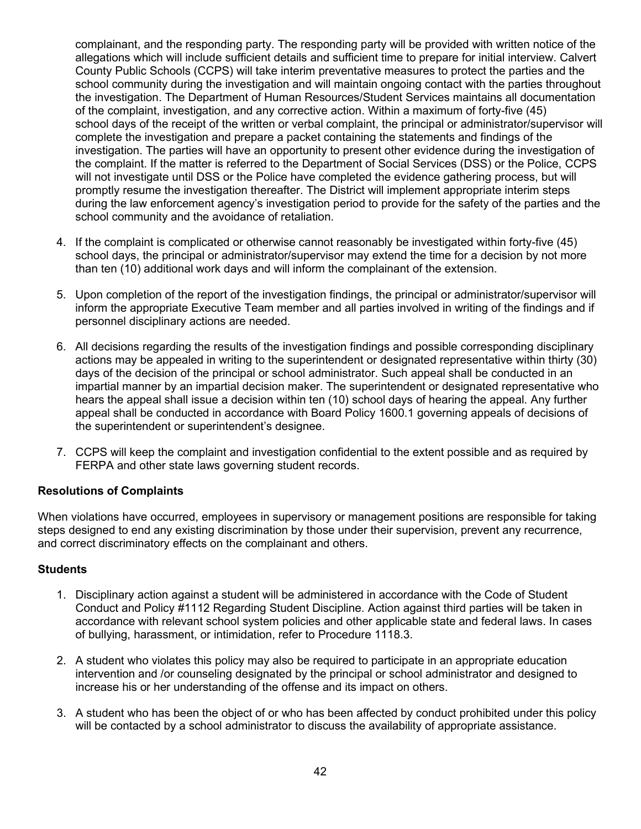complainant, and the responding party. The responding party will be provided with written notice of the allegations which will include sufficient details and sufficient time to prepare for initial interview. Calvert County Public Schools (CCPS) will take interim preventative measures to protect the parties and the school community during the investigation and will maintain ongoing contact with the parties throughout the investigation. The Department of Human Resources/Student Services maintains all documentation of the complaint, investigation, and any corrective action. Within a maximum of forty-five (45) school days of the receipt of the written or verbal complaint, the principal or administrator/supervisor will complete the investigation and prepare a packet containing the statements and findings of the investigation. The parties will have an opportunity to present other evidence during the investigation of the complaint. If the matter is referred to the Department of Social Services (DSS) or the Police, CCPS will not investigate until DSS or the Police have completed the evidence gathering process, but will promptly resume the investigation thereafter. The District will implement appropriate interim steps during the law enforcement agency's investigation period to provide for the safety of the parties and the school community and the avoidance of retaliation.

- 4. If the complaint is complicated or otherwise cannot reasonably be investigated within forty-five (45) school days, the principal or administrator/supervisor may extend the time for a decision by not more than ten (10) additional work days and will inform the complainant of the extension.
- 5. Upon completion of the report of the investigation findings, the principal or administrator/supervisor will inform the appropriate Executive Team member and all parties involved in writing of the findings and if personnel disciplinary actions are needed.
- 6. All decisions regarding the results of the investigation findings and possible corresponding disciplinary actions may be appealed in writing to the superintendent or designated representative within thirty (30) days of the decision of the principal or school administrator. Such appeal shall be conducted in an impartial manner by an impartial decision maker. The superintendent or designated representative who hears the appeal shall issue a decision within ten (10) school days of hearing the appeal. Any further appeal shall be conducted in accordance with Board Policy 1600.1 governing appeals of decisions of the superintendent or superintendent's designee.
- 7. CCPS will keep the complaint and investigation confidential to the extent possible and as required by FERPA and other state laws governing student records.

#### **Resolutions of Complaints**

When violations have occurred, employees in supervisory or management positions are responsible for taking steps designed to end any existing discrimination by those under their supervision, prevent any recurrence, and correct discriminatory effects on the complainant and others.

#### **Students**

- 1. Disciplinary action against a student will be administered in accordance with the Code of Student Conduct and Policy #1112 Regarding Student Discipline. Action against third parties will be taken in accordance with relevant school system policies and other applicable state and federal laws. In cases of bullying, harassment, or intimidation, refer to Procedure 1118.3.
- 2. A student who violates this policy may also be required to participate in an appropriate education intervention and /or counseling designated by the principal or school administrator and designed to increase his or her understanding of the offense and its impact on others.
- 3. A student who has been the object of or who has been affected by conduct prohibited under this policy will be contacted by a school administrator to discuss the availability of appropriate assistance.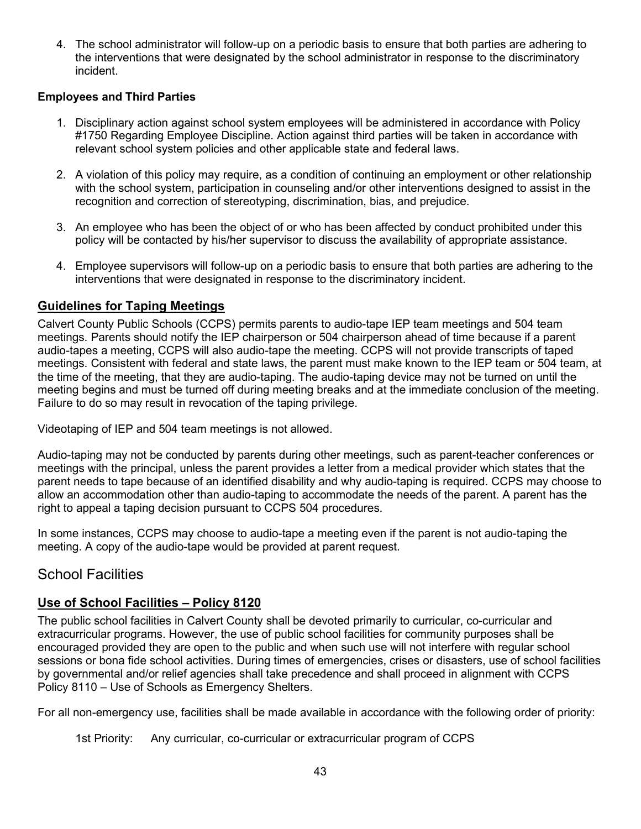4. The school administrator will follow-up on a periodic basis to ensure that both parties are adhering to the interventions that were designated by the school administrator in response to the discriminatory incident.

#### **Employees and Third Parties**

- 1. Disciplinary action against school system employees will be administered in accordance with Policy #1750 Regarding Employee Discipline. Action against third parties will be taken in accordance with relevant school system policies and other applicable state and federal laws.
- 2. A violation of this policy may require, as a condition of continuing an employment or other relationship with the school system, participation in counseling and/or other interventions designed to assist in the recognition and correction of stereotyping, discrimination, bias, and prejudice.
- 3. An employee who has been the object of or who has been affected by conduct prohibited under this policy will be contacted by his/her supervisor to discuss the availability of appropriate assistance.
- 4. Employee supervisors will follow-up on a periodic basis to ensure that both parties are adhering to the interventions that were designated in response to the discriminatory incident.

#### <span id="page-42-0"></span>**Guidelines for Taping Meetings**

Calvert County Public Schools (CCPS) permits parents to audio-tape IEP team meetings and 504 team meetings. Parents should notify the IEP chairperson or 504 chairperson ahead of time because if a parent audio-tapes a meeting, CCPS will also audio-tape the meeting. CCPS will not provide transcripts of taped meetings. Consistent with federal and state laws, the parent must make known to the IEP team or 504 team, at the time of the meeting, that they are audio-taping. The audio-taping device may not be turned on until the meeting begins and must be turned off during meeting breaks and at the immediate conclusion of the meeting. Failure to do so may result in revocation of the taping privilege.

Videotaping of IEP and 504 team meetings is not allowed.

Audio-taping may not be conducted by parents during other meetings, such as parent-teacher conferences or meetings with the principal, unless the parent provides a letter from a medical provider which states that the parent needs to tape because of an identified disability and why audio-taping is required. CCPS may choose to allow an accommodation other than audio-taping to accommodate the needs of the parent. A parent has the right to appeal a taping decision pursuant to CCPS 504 procedures.

In some instances, CCPS may choose to audio-tape a meeting even if the parent is not audio-taping the meeting. A copy of the audio-tape would be provided at parent request.

## <span id="page-42-1"></span>School Facilities

#### <span id="page-42-2"></span>**Use of School Facilities – Policy 8120**

The public school facilities in Calvert County shall be devoted primarily to curricular, co-curricular and extracurricular programs. However, the use of public school facilities for community purposes shall be encouraged provided they are open to the public and when such use will not interfere with regular school sessions or bona fide school activities. During times of emergencies, crises or disasters, use of school facilities by governmental and/or relief agencies shall take precedence and shall proceed in alignment with CCPS Policy 8110 – Use of Schools as Emergency Shelters.

For all non-emergency use, facilities shall be made available in accordance with the following order of priority:

1st Priority: Any curricular, co-curricular or extracurricular program of CCPS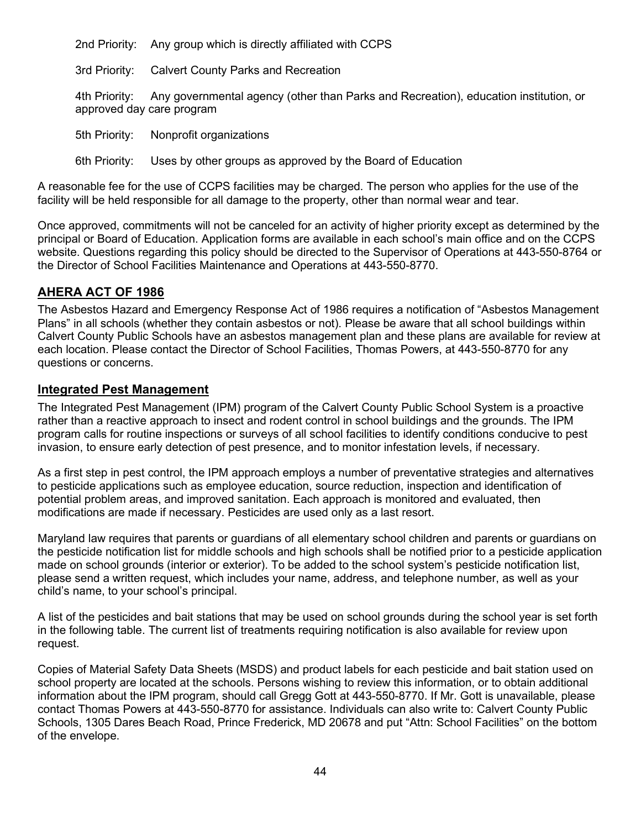2nd Priority: Any group which is directly affiliated with CCPS

3rd Priority: Calvert County Parks and Recreation

4th Priority: Any governmental agency (other than Parks and Recreation), education institution, or approved day care program

5th Priority: Nonprofit organizations

6th Priority: Uses by other groups as approved by the Board of Education

A reasonable fee for the use of CCPS facilities may be charged. The person who applies for the use of the facility will be held responsible for all damage to the property, other than normal wear and tear.

Once approved, commitments will not be canceled for an activity of higher priority except as determined by the principal or Board of Education. Application forms are available in each school's main office and on the CCPS website. Questions regarding this policy should be directed to the Supervisor of Operations at 443-550-8764 or the Director of School Facilities Maintenance and Operations at 443-550-8770.

#### <span id="page-43-0"></span>**AHERA ACT OF 1986**

The Asbestos Hazard and Emergency Response Act of 1986 requires a notification of "Asbestos Management Plans" in all schools (whether they contain asbestos or not). Please be aware that all school buildings within Calvert County Public Schools have an asbestos management plan and these plans are available for review at each location. Please contact the Director of School Facilities, Thomas Powers, at 443-550-8770 for any questions or concerns.

#### <span id="page-43-1"></span>**Integrated Pest Management**

The Integrated Pest Management (IPM) program of the Calvert County Public School System is a proactive rather than a reactive approach to insect and rodent control in school buildings and the grounds. The IPM program calls for routine inspections or surveys of all school facilities to identify conditions conducive to pest invasion, to ensure early detection of pest presence, and to monitor infestation levels, if necessary.

As a first step in pest control, the IPM approach employs a number of preventative strategies and alternatives to pesticide applications such as employee education, source reduction, inspection and identification of potential problem areas, and improved sanitation. Each approach is monitored and evaluated, then modifications are made if necessary. Pesticides are used only as a last resort.

Maryland law requires that parents or guardians of all elementary school children and parents or guardians on the pesticide notification list for middle schools and high schools shall be notified prior to a pesticide application made on school grounds (interior or exterior). To be added to the school system's pesticide notification list, please send a written request, which includes your name, address, and telephone number, as well as your child's name, to your school's principal.

A list of the pesticides and bait stations that may be used on school grounds during the school year is set forth in the following table. The current list of treatments requiring notification is also available for review upon request.

Copies of Material Safety Data Sheets (MSDS) and product labels for each pesticide and bait station used on school property are located at the schools. Persons wishing to review this information, or to obtain additional information about the IPM program, should call Gregg Gott at 443-550-8770. If Mr. Gott is unavailable, please contact Thomas Powers at 443-550-8770 for assistance. Individuals can also write to: Calvert County Public Schools, 1305 Dares Beach Road, Prince Frederick, MD 20678 and put "Attn: School Facilities" on the bottom of the envelope.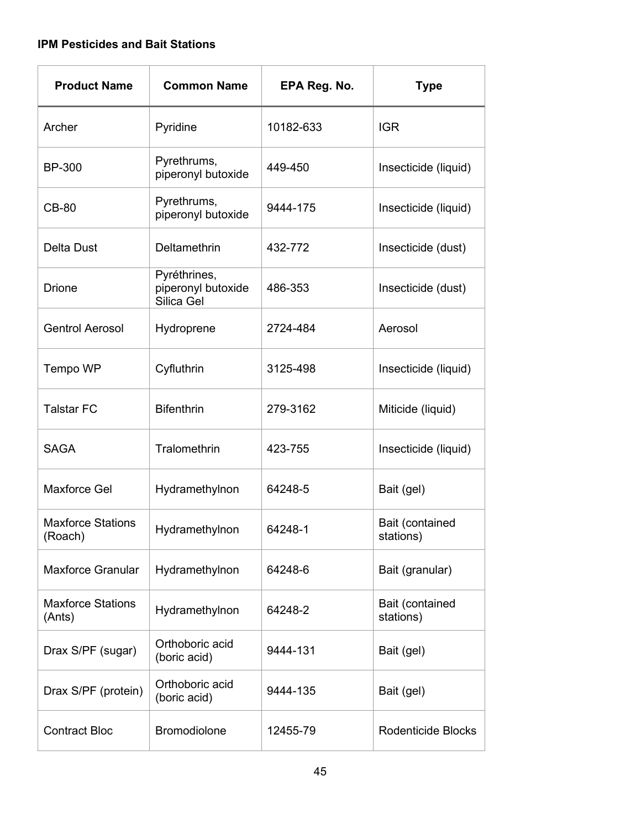#### **IPM Pesticides and Bait Stations**

| <b>Product Name</b>                 | <b>Common Name</b>                               | EPA Reg. No. | <b>Type</b>                  |
|-------------------------------------|--------------------------------------------------|--------------|------------------------------|
| Archer                              | Pyridine                                         | 10182-633    | <b>IGR</b>                   |
| <b>BP-300</b>                       | Pyrethrums,<br>piperonyl butoxide                | 449-450      | Insecticide (liquid)         |
| <b>CB-80</b>                        | Pyrethrums,<br>piperonyl butoxide                | 9444-175     | Insecticide (liquid)         |
| <b>Delta Dust</b>                   | Deltamethrin                                     | 432-772      | Insecticide (dust)           |
| <b>Drione</b>                       | Pyréthrines,<br>piperonyl butoxide<br>Silica Gel | 486-353      | Insecticide (dust)           |
| <b>Gentrol Aerosol</b>              | Hydroprene                                       | 2724-484     | Aerosol                      |
| Tempo WP                            | Cyfluthrin                                       | 3125-498     | Insecticide (liquid)         |
| <b>Talstar FC</b>                   | <b>Bifenthrin</b>                                | 279-3162     | Miticide (liquid)            |
| <b>SAGA</b>                         | Tralomethrin                                     | 423-755      | Insecticide (liquid)         |
| <b>Maxforce Gel</b>                 | Hydramethylnon                                   | 64248-5      | Bait (gel)                   |
| <b>Maxforce Stations</b><br>(Roach) | Hydramethylnon                                   | 64248-1      | Bait (contained<br>stations) |
| <b>Maxforce Granular</b>            | Hydramethylnon                                   | 64248-6      | Bait (granular)              |
| <b>Maxforce Stations</b><br>(Ants)  | Hydramethylnon                                   | 64248-2      | Bait (contained<br>stations) |
| Drax S/PF (sugar)                   | Orthoboric acid<br>(boric acid)                  | 9444-131     | Bait (gel)                   |
| Drax S/PF (protein)                 | Orthoboric acid<br>(boric acid)                  | 9444-135     | Bait (gel)                   |
| <b>Contract Bloc</b>                | <b>Bromodiolone</b>                              | 12455-79     | Rodenticide Blocks           |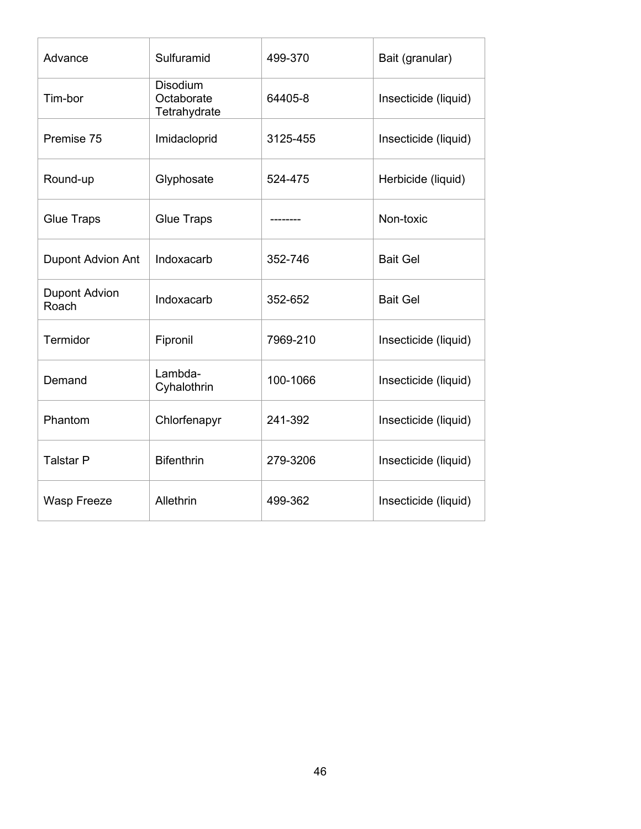| Advance                       | Sulfuramid                                    | 499-370  | Bait (granular)      |
|-------------------------------|-----------------------------------------------|----------|----------------------|
| Tim-bor                       | <b>Disodium</b><br>Octaborate<br>Tetrahydrate | 64405-8  | Insecticide (liquid) |
| Premise 75                    | Imidacloprid                                  | 3125-455 | Insecticide (liquid) |
| Round-up                      | Glyphosate                                    | 524-475  | Herbicide (liquid)   |
| <b>Glue Traps</b>             | <b>Glue Traps</b>                             |          | Non-toxic            |
| <b>Dupont Advion Ant</b>      | Indoxacarb                                    | 352-746  | <b>Bait Gel</b>      |
| <b>Dupont Advion</b><br>Roach | Indoxacarb                                    | 352-652  | <b>Bait Gel</b>      |
| Termidor                      | Fipronil                                      | 7969-210 | Insecticide (liquid) |
| Demand                        | Lambda-<br>Cyhalothrin                        | 100-1066 | Insecticide (liquid) |
| Phantom                       | Chlorfenapyr                                  | 241-392  | Insecticide (liquid) |
| <b>Talstar P</b>              | <b>Bifenthrin</b>                             | 279-3206 | Insecticide (liquid) |
| <b>Wasp Freeze</b>            | Allethrin                                     | 499-362  | Insecticide (liquid) |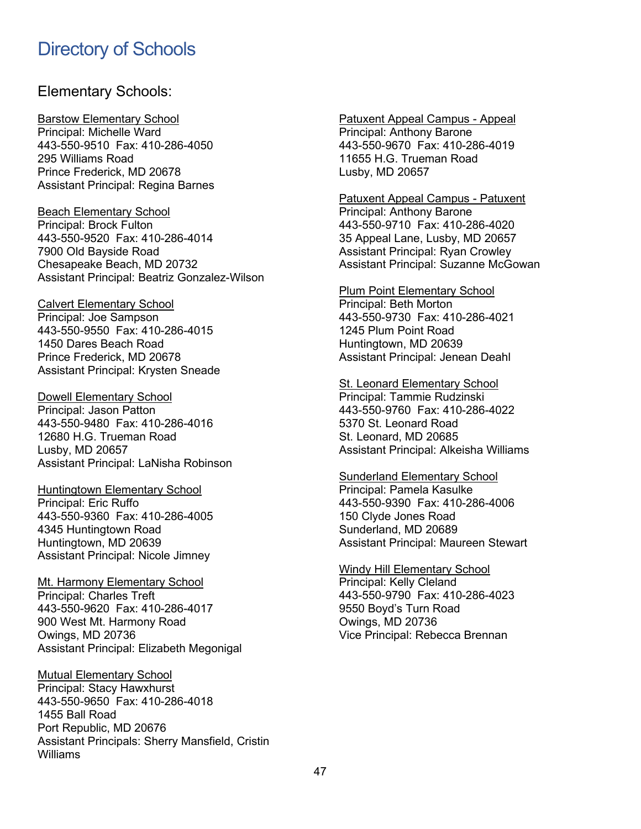## <span id="page-46-0"></span>Directory of Schools

#### Elementary Schools:

Barstow Elementary School Principal: Michelle Ward 443-550-9510 Fax: 410-286-4050 295 Williams Road Prince Frederick, MD 20678 Assistant Principal: Regina Barnes

Beach Elementary School Principal: Brock Fulton 443-550-9520 Fax: 410-286-4014 7900 Old Bayside Road Chesapeake Beach, MD 20732 Assistant Principal: Beatriz Gonzalez-Wilson

Calvert Elementary School Principal: Joe Sampson 443-550-9550 Fax: 410-286-4015 1450 Dares Beach Road Prince Frederick, MD 20678 Assistant Principal: Krysten Sneade

Dowell Elementary School Principal: Jason Patton 443-550-9480 Fax: 410-286-4016 12680 H.G. Trueman Road Lusby, MD 20657 Assistant Principal: LaNisha Robinson

Huntingtown Elementary School Principal: Eric Ruffo 443-550-9360 Fax: 410-286-4005 4345 Huntingtown Road Huntingtown, MD 20639 Assistant Principal: Nicole Jimney

Mt. Harmony Elementary School Principal: Charles Treft 443-550-9620 Fax: 410-286-4017 900 West Mt. Harmony Road Owings, MD 20736 Assistant Principal: Elizabeth Megonigal

Mutual Elementary School Principal: Stacy Hawxhurst 443-550-9650 Fax: 410-286-4018 1455 Ball Road Port Republic, MD 20676 Assistant Principals: Sherry Mansfield, Cristin Williams

Patuxent Appeal Campus - Appeal Principal: Anthony Barone 443-550-9670 Fax: 410-286-4019 11655 H.G. Trueman Road Lusby, MD 20657

Patuxent Appeal Campus - Patuxent Principal: Anthony Barone 443-550-9710 Fax: 410-286-4020 35 Appeal Lane, Lusby, MD 20657 Assistant Principal: Ryan Crowley Assistant Principal: Suzanne McGowan

Plum Point Elementary School Principal: Beth Morton 443-550-9730 Fax: 410-286-4021 1245 Plum Point Road Huntingtown, MD 20639 Assistant Principal: Jenean Deahl

St. Leonard Elementary School Principal: Tammie Rudzinski 443-550-9760 Fax: 410-286-4022 5370 St. Leonard Road St. Leonard, MD 20685 Assistant Principal: Alkeisha Williams

Sunderland Elementary School Principal: Pamela Kasulke 443-550-9390 Fax: 410-286-4006 150 Clyde Jones Road Sunderland, MD 20689 Assistant Principal: Maureen Stewart

Windy Hill Elementary School Principal: Kelly Cleland 443-550-9790 Fax: 410-286-4023 9550 Boyd's Turn Road Owings, MD 20736 Vice Principal: Rebecca Brennan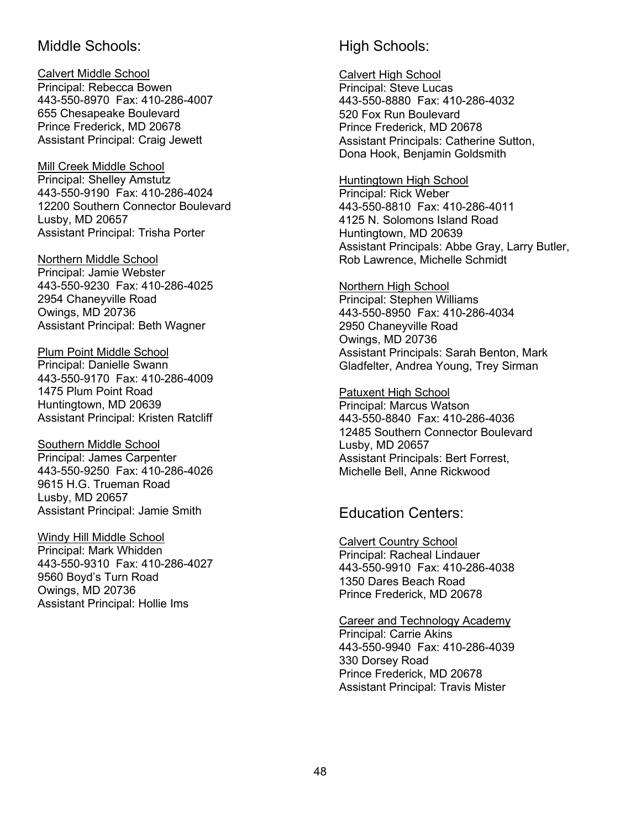#### Middle Schools:

Calvert Middle School Principal: Rebecca Bowen 443-550-8970 Fax: 410-286-4007 655 Chesapeake Boulevard Prince Frederick, MD 20678 Assistant Principal: Craig Jewett

Mill Creek Middle School Principal: Shelley Amstutz 443-550-9190 Fax: 410-286-4024 12200 Southern Connector Boulevard Lusby, MD 20657 Assistant Principal: Trisha Porter

Northern Middle School Principal: Jamie Webster 443-550-9230 Fax: 410-286-4025 2954 Chaneyville Road Owings, MD 20736 Assistant Principal: Beth Wagner

Plum Point Middle School Principal: Danielle Swann 443-550-9170 Fax: 410-286-4009 1475 Plum Point Road Huntingtown, MD 20639 Assistant Principal: Kristen Ratcliff

Southern Middle School Principal: James Carpenter 443-550-9250 Fax: 410-286-4026 9615 H.G. Trueman Road Lusby, MD 20657 Assistant Principal: Jamie Smith

Windy Hill Middle School Principal: Mark Whidden 443-550-9310 Fax: 410-286-4027 9560 Boyd's Turn Road Owings, MD 20736 Assistant Principal: Hollie Ims

## High Schools:

Calvert High School Principal: Steve Lucas 443-550-8880 Fax: 410-286-4032 520 Fox Run Boulevard Prince Frederick, MD 20678 Assistant Principals: Catherine Sutton, Dona Hook, Benjamin Goldsmith

Huntingtown High School Principal: Rick Weber 443-550-8810 Fax: 410-286-4011 4125 N. Solomons Island Road Huntingtown, MD 20639 Assistant Principals: Abbe Gray, Larry Butler, Rob Lawrence, Michelle Schmidt

Northern High School Principal: Stephen Williams 443-550-8950 Fax: 410-286-4034 2950 Chaneyville Road Owings, MD 20736 Assistant Principals: Sarah Benton, Mark Gladfelter, Andrea Young, Trey Sirman

Patuxent High School Principal: Marcus Watson 443-550-8840 Fax: 410-286-4036 12485 Southern Connector Boulevard Lusby, MD 20657 Assistant Principals: Bert Forrest, Michelle Bell, Anne Rickwood

Education Centers:

Calvert Country School Principal: Racheal Lindauer 443-550-9910 Fax: 410-286-4038 1350 Dares Beach Road Prince Frederick, MD 20678

Career and Technology Academy Principal: Carrie Akins 443-550-9940 Fax: 410-286-4039 330 Dorsey Road Prince Frederick, MD 20678 Assistant Principal: Travis Mister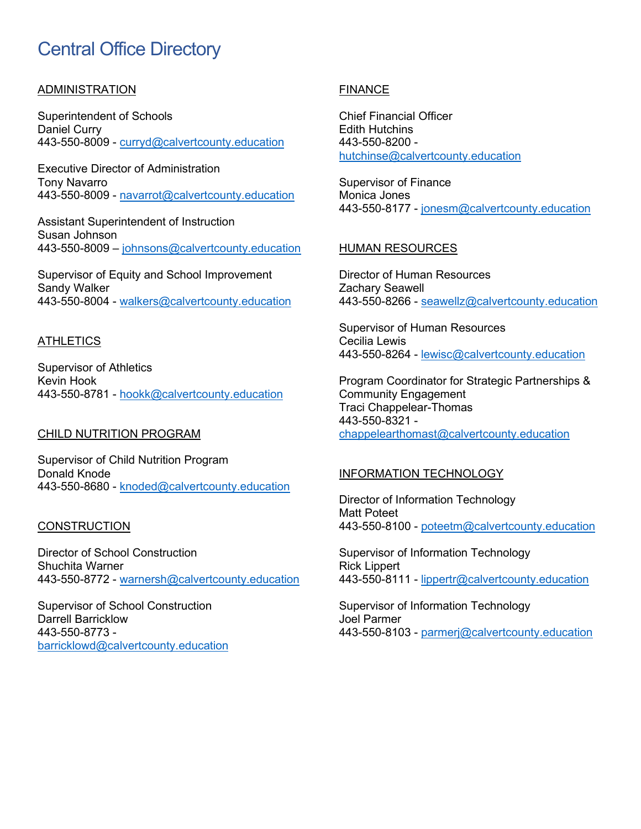## Central Office Directory

#### ADMINISTRATION

Superintendent of Schools Daniel Curry 443-550-8009 - [curryd@calvertcounty.education](mailto:curryd@calvertcounty.education)

Executive Director of Administration Tony Navarro 443-550-8009 - [navarrot@calvertcounty.education](mailto:navarrot@calvertcounty.education)

Assistant Superintendent of Instruction Susan Johnson 443-550-8009 – [johnsons@calvertcounty.education](mailto:johnsons@calvertcounty.education) 

Supervisor of Equity and School Improvement Sandy Walker 443-550-8004 - [walkers@calvertcounty.education](mailto:walkers@calvertcounty.education)

#### **ATHLETICS**

Supervisor of Athletics Kevin Hook 443-550-8781 - [hookk@calvertcounty.education](mailto:hookk@calvertcounty.education)

#### CHILD NUTRITION PROGRAM

Supervisor of Child Nutrition Program Donald Knode 443-550-8680 - [knoded@calvertcounty.education](mailto:knoded@calvertcounty.education)

#### **CONSTRUCTION**

Director of School Construction Shuchita Warner 443-550-8772 - [warnersh@calvertcounty.education](mailto:warnersh@calvertcounty.education) 

Supervisor of School Construction Darrell Barricklow 443-550-8773 [barricklowd@calvertcounty.education](mailto:barricklowd@calvertcounty.education)

#### FINANCE

Chief Financial Officer Edith Hutchins 443-550-8200 [hutchinse@calvertcounty.education](mailto:hutchinse@calvertcounty.education)

Supervisor of Finance Monica Jones 443-550-8177 - [jonesm@calvertcounty.education](mailto:jonesm@calvertcounty.education)

#### HUMAN RESOURCES

Director of Human Resources Zachary Seawell 443-550-8266 - [seawellz@calvertcounty.education](mailto:seawellz@calvertcounty.education)

Supervisor of Human Resources Cecilia Lewis 443-550-8264 - [lewisc@calvertcounty.education](mailto:lewisc@calvertcounty.education) 

Program Coordinator for Strategic Partnerships & Community Engagement Traci Chappelear-Thomas 443-550-8321 [chappelearthomast@calvertcounty.education](mailto:chappelearthomast@calvertcounty.education)

#### INFORMATION TECHNOLOGY

Director of Information Technology Matt Poteet 443-550-8100 - [poteetm@calvertcounty.education](mailto:poteetm@calvertcounty.education) 

Supervisor of Information Technology Rick Lippert 443-550-8111 - [lippertr@calvertcounty.education](mailto:lippertr@calvertcounty.education) 

Supervisor of Information Technology Joel Parmer 443-550-8103 - [parmerj@calvertcounty.education](mailto:parmerj@calvertcounty.education)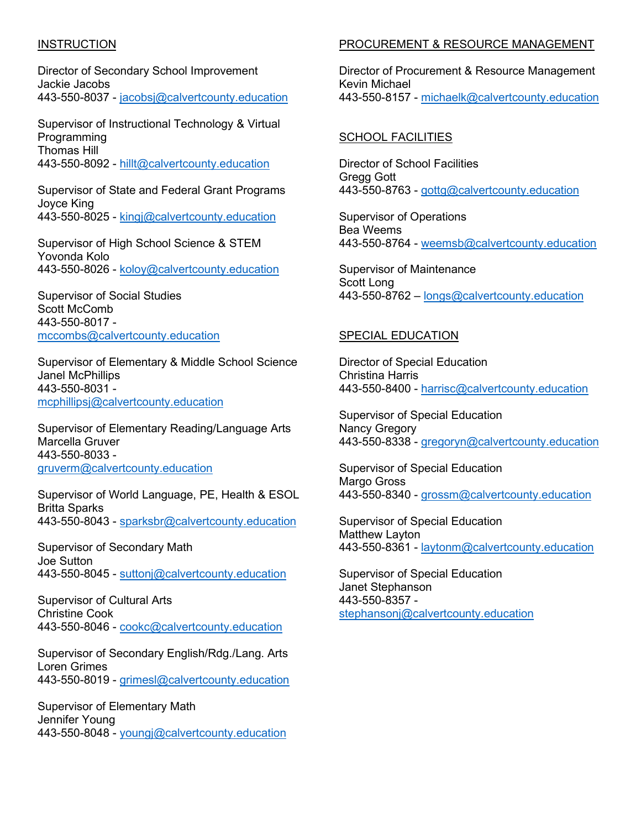#### **INSTRUCTION**

Director of Secondary School Improvement Jackie Jacobs 443-550-8037 - [jacobsj@calvertcounty.education](mailto:jacobsj@calvertcounty.education)

Supervisor of Instructional Technology & Virtual Programming Thomas Hill 443-550-8092 - [hillt@calvertcounty.education](mailto:hillt@calvertcounty.education)

Supervisor of State and Federal Grant Programs Joyce King 443-550-8025 - [kingj@calvertcounty.education](mailto:kingj@calvertcounty.education)

Supervisor of High School Science & STEM Yovonda Kolo 443-550-8026 - [koloy@calvertcounty.education](mailto:koloy@calvertcounty.education) 

Supervisor of Social Studies Scott McComb 443-550-8017 [mccombs@calvertcounty.education](mailto:mccombs@calvertcounty.education) 

Supervisor of Elementary & Middle School Science Janel McPhillips 443-550-8031 [mcphillipsj@calvertcounty.education](mailto:mcphillipsj@calvertcounty.education) 

Supervisor of Elementary Reading/Language Arts Marcella Gruver 443-550-8033 [gruverm@calvertcounty.education](mailto:gruverm@calvertcounty.education) 

Supervisor of World Language, PE, Health & ESOL Britta Sparks 443-550-8043 - [sparksbr@calvertcounty.education](mailto:sparksbr@calvertcounty.education) 

Supervisor of Secondary Math Joe Sutton 443-550-8045 - [suttonj@calvertcounty.education](mailto:suttonj@calvertcounty.education) 

Supervisor of Cultural Arts Christine Cook 443-550-8046 - [cookc@calvertcounty.education](mailto:cookc@calvertcounty.education) 

Supervisor of Secondary English/Rdg./Lang. Arts Loren Grimes 443-550-8019 - [grimesl@calvertcounty.education](mailto:grimesl@calvertcounty.education) 

Supervisor of Elementary Math Jennifer Young 443-550-8048 - [youngj@calvertcounty.education](mailto:youngj@calvertcounty.education)

#### PROCUREMENT & RESOURCE MANAGEMENT

Director of Procurement & Resource Management Kevin Michael 443-550-8157 - [michaelk@calvertcounty.education](mailto:michaelk@calvertcounty.education)

#### SCHOOL FACILITIES

Director of School Facilities Gregg Gott 443-550-8763 - gottg@calvertcounty.education

Supervisor of Operations Bea Weems 443-550-8764 - weemsb@calvertcounty.education

Supervisor of Maintenance Scott Long 443-550-8762 – [longs@calvertcounty.education](mailto:longs@calvertcounty.education)

#### SPECIAL EDUCATION

Director of Special Education Christina Harris 443-550-8400 - [harrisc@calvertcounty.education](mailto:harrisc@calvertcounty.education) 

Supervisor of Special Education Nancy Gregory 443-550-8338 - [gregoryn@calvertcounty.education](mailto:gregoryn@calvertcounty.education) 

Supervisor of Special Education Margo Gross 443-550-8340 - [grossm@calvertcounty.education](mailto:grossm@calvertcounty.education) 

Supervisor of Special Education Matthew Layton 443-550-8361 - [laytonm@calvertcounty.education](mailto:laytonm@calvertcounty.education)

Supervisor of Special Education Janet Stephanson 443-550-8357 [stephansonj@calvertcounty.education](mailto:stephansonj@calvertcounty.education)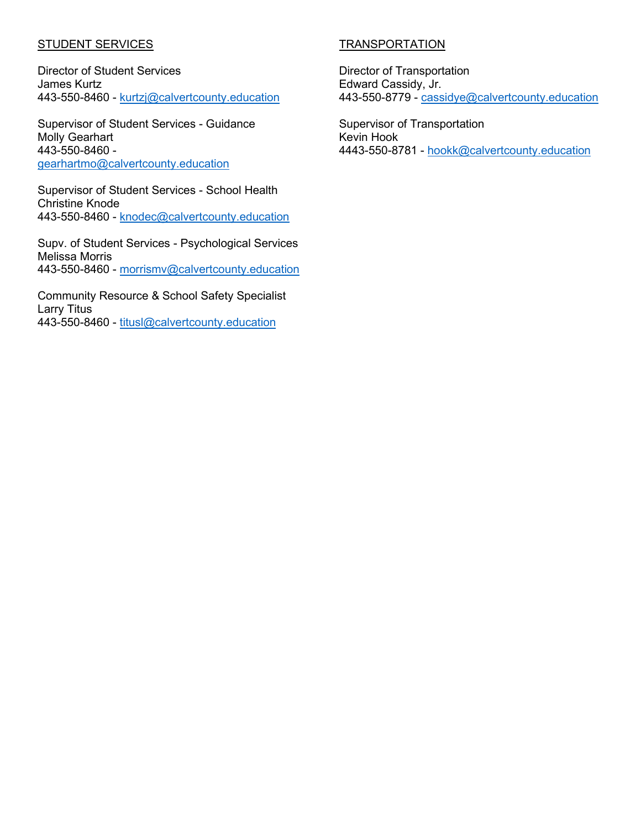#### **STUDENT SERVICES**

Director of Student Services James Kurtz 443-550-8460 - [kurtzj@calvertcounty.education](mailto:kurtzj@calvertcounty.education) 

Supervisor of Student Services - Guidance Molly Gearhart 443-550-8460 [gearhartmo@calvertcounty.education](mailto:gearhartmo@calvertcounty.education)

Supervisor of Student Services - School Health Christine Knode 443-550-8460 - [knodec@calvertcounty.education](mailto:knodec@calvertcounty.education)

Supv. of Student Services - Psychological Services Melissa Morris 443-550-8460 - [morrismv@calvertcounty.education](mailto:morrismv@calvertcounty.education)

Community Resource & School Safety Specialist Larry Titus 443-550-8460 - [titusl@calvertcounty.education](mailto:titusl@calvertcounty.education)

#### TRANSPORTATION

Director of Transportation Edward Cassidy, Jr. 443-550-8779 - cassidye@calvertcounty.education

Supervisor of Transportation Kevin Hook 4443-550-8781 - [hookk@calvertcounty.education](mailto:hookk@calvertcounty.education)